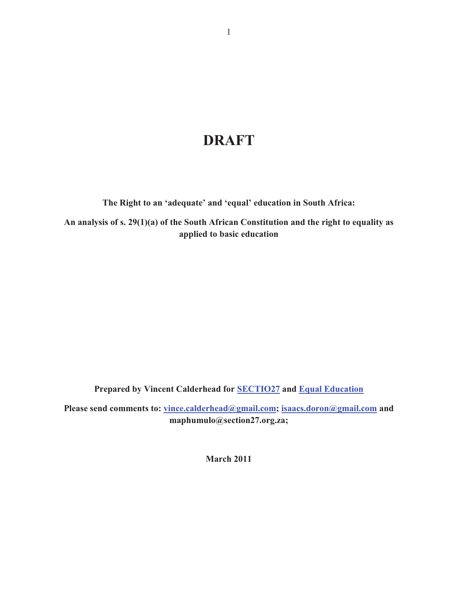# **DRAFT**

**The Right to an 'adequate' and 'equal' education in South Africa:**

**An analysis of s. 29(1)(a) of the South African Constitution and the right to equality as applied to basic education** 

**Prepared by Vincent Calderhead for SECTIO27 and Equal Education**

Please send comments to: vince.calderhead@gmail.com; isaacs.doron@gmail.com and **maphumulo@section27.org.za;** 

**March 2011**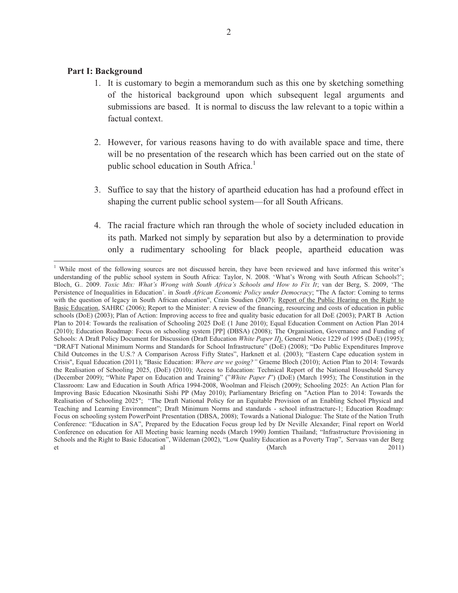# **Part I: Background**

- 1. It is customary to begin a memorandum such as this one by sketching something of the historical background upon which subsequent legal arguments and submissions are based. It is normal to discuss the law relevant to a topic within a factual context.
- 2. However, for various reasons having to do with available space and time, there will be no presentation of the research which has been carried out on the state of public school education in South Africa.<sup>1</sup>
- 3. Suffice to say that the history of apartheid education has had a profound effect in shaping the current public school system—for all South Africans.
- 4. The racial fracture which ran through the whole of society included education in its path. Marked not simply by separation but also by a determination to provide only a rudimentary schooling for black people, apartheid education was

<sup>&</sup>lt;sup>1</sup> While most of the following sources are not discussed herein, they have been reviewed and have informed this writer's understanding of the public school system in South Africa: Taylor, N. 2008. 'What's Wrong with South African Schools?'; Bloch, G.. 2009. *Toxic Mix: What's Wrong with South Africa's Schools and How to Fix It*; van der Berg, S. 2009, 'The Persistence of Inequalities in Education'. in *South African Economic Policy under Democracy*; "The A factor: Coming to terms with the question of legacy in South African education", Crain Soudien (2007); Report of the Public Hearing on the Right to Basic Education, SAHRC (2006); Report to the Minister: A review of the financing, resourcing and costs of education in public schools (DoE) (2003); Plan of Action: Improving access to free and quality basic education for all DoE (2003); PART B Action Plan to 2014: Towards the realisation of Schooling 2025 DoE (1 June 2010); Equal Education Comment on Action Plan 2014 (2010); Education Roadmap: Focus on schooling system [PP] (DBSA) (2008); The Organisation, Governance and Funding of Schools: A Draft Policy Document for Discussion (Draft Education *White Paper II*), General Notice 1229 of 1995 (DoE) (1995); "DRAFT National Minimum Norms and Standards for School Infrastructure" (DoE) (2008); "Do Public Expenditures Improve Child Outcomes in the U.S.? A Comparison Across Fifty States", Harknett et al. (2003); "Eastern Cape education system in Crisis", Equal Education (2011); "Basic Education: *Where are we going?"* Graeme Bloch (2010); Action Plan to 2014: Towards the Realisation of Schooling 2025, (DoE) (2010); Access to Education: Technical Report of the National Household Survey (December 2009); "White Paper on Education and Training" ("*White Paper I*") (DoE) (March 1995); The Constitution in the Classroom: Law and Education in South Africa 1994-2008, Woolman and Fleisch (2009); Schooling 2025: An Action Plan for Improving Basic Education Nkosinathi Sishi PP (May 2010); Parliamentary Briefing on "Action Plan to 2014: Towards the Realisation of Schooling 2025"; "The Draft National Policy for an Equitable Provision of an Enabling School Physical and Teaching and Learning Environment"; Draft Minimum Norms and standards - school infrastracture-1; Education Roadmap: Focus on schooling system PowerPoint Presentation (DBSA, 2008); Towards a National Dialogue: The State of the Nation Truth Conference: "Education in SA", Prepared by the Education Focus group led by Dr Neville Alexander; Final report on World Conference on education for All Meeting basic learning needs (March 1990) Jomtien Thailand; "Infrastructure Provisioning in Schools and the Right to Basic Education", Wildeman (2002), "Low Quality Education as a Poverty Trap", Servaas van der Berg et al al (March 2011)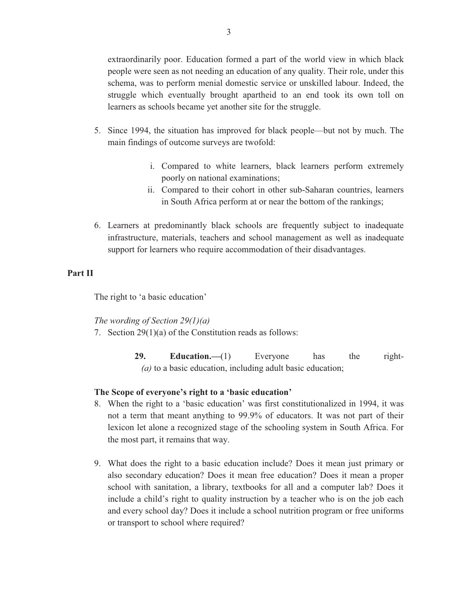extraordinarily poor. Education formed a part of the world view in which black people were seen as not needing an education of any quality. Their role, under this schema, was to perform menial domestic service or unskilled labour. Indeed, the struggle which eventually brought apartheid to an end took its own toll on learners as schools became yet another site for the struggle.

- 5. Since 1994, the situation has improved for black people—but not by much. The main findings of outcome surveys are twofold:
	- i. Compared to white learners, black learners perform extremely poorly on national examinations;
	- ii. Compared to their cohort in other sub-Saharan countries, learners in South Africa perform at or near the bottom of the rankings;
- 6. Learners at predominantly black schools are frequently subject to inadequate infrastructure, materials, teachers and school management as well as inadequate support for learners who require accommodation of their disadvantages.

# **Part II**

The right to 'a basic education'

# *The wording of Section 29(1)(a)*

- 7. Section 29(1)(a) of the Constitution reads as follows:
	- **29. Education.**—(1) Everyone has the right- *(a)* to a basic education, including adult basic education;

# **The Scope of everyone's right to a 'basic education'**

- 8. When the right to a 'basic education' was first constitutionalized in 1994, it was not a term that meant anything to 99.9% of educators. It was not part of their lexicon let alone a recognized stage of the schooling system in South Africa. For the most part, it remains that way.
- 9. What does the right to a basic education include? Does it mean just primary or also secondary education? Does it mean free education? Does it mean a proper school with sanitation, a library, textbooks for all and a computer lab? Does it include a child's right to quality instruction by a teacher who is on the job each and every school day? Does it include a school nutrition program or free uniforms or transport to school where required?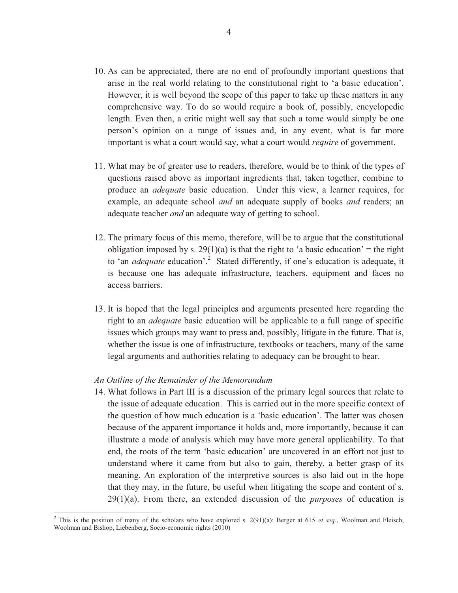- 10. As can be appreciated, there are no end of profoundly important questions that arise in the real world relating to the constitutional right to 'a basic education'. However, it is well beyond the scope of this paper to take up these matters in any comprehensive way. To do so would require a book of, possibly, encyclopedic length. Even then, a critic might well say that such a tome would simply be one person's opinion on a range of issues and, in any event, what is far more important is what a court would say, what a court would *require* of government.
- 11. What may be of greater use to readers, therefore, would be to think of the types of questions raised above as important ingredients that, taken together, combine to produce an *adequate* basic education. Under this view, a learner requires, for example, an adequate school *and* an adequate supply of books *and* readers; an adequate teacher *and* an adequate way of getting to school.
- 12. The primary focus of this memo, therefore, will be to argue that the constitutional obligation imposed by s. 29(1)(a) is that the right to 'a basic education' = the right to 'an *adequate* education'.<sup>2</sup> Stated differently, if one's education is adequate, it is because one has adequate infrastructure, teachers, equipment and faces no access barriers.
- 13. It is hoped that the legal principles and arguments presented here regarding the right to an *adequate* basic education will be applicable to a full range of specific issues which groups may want to press and, possibly, litigate in the future. That is, whether the issue is one of infrastructure, textbooks or teachers, many of the same legal arguments and authorities relating to adequacy can be brought to bear.

#### *An Outline of the Remainder of the Memorandum*

 $\overline{a}$ 

14. What follows in Part III is a discussion of the primary legal sources that relate to the issue of adequate education. This is carried out in the more specific context of the question of how much education is a 'basic education'. The latter was chosen because of the apparent importance it holds and, more importantly, because it can illustrate a mode of analysis which may have more general applicability. To that end, the roots of the term 'basic education' are uncovered in an effort not just to understand where it came from but also to gain, thereby, a better grasp of its meaning. An exploration of the interpretive sources is also laid out in the hope that they may, in the future, be useful when litigating the scope and content of s. 29(1)(a). From there, an extended discussion of the *purposes* of education is

<sup>&</sup>lt;sup>2</sup> This is the position of many of the scholars who have explored s.  $2(91)(a)$ : Berger at 615 *et seq.*, Woolman and Fleisch, Woolman and Bishop, Liebenberg, Socio-economic rights (2010)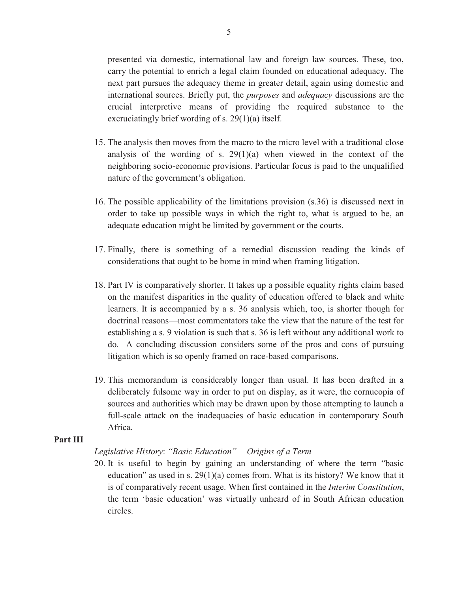presented via domestic, international law and foreign law sources. These, too, carry the potential to enrich a legal claim founded on educational adequacy. The next part pursues the adequacy theme in greater detail, again using domestic and international sources. Briefly put, the *purposes* and *adequacy* discussions are the crucial interpretive means of providing the required substance to the excruciatingly brief wording of s. 29(1)(a) itself.

- 15. The analysis then moves from the macro to the micro level with a traditional close analysis of the wording of s.  $29(1)(a)$  when viewed in the context of the neighboring socio-economic provisions. Particular focus is paid to the unqualified nature of the government's obligation.
- 16. The possible applicability of the limitations provision (s.36) is discussed next in order to take up possible ways in which the right to, what is argued to be, an adequate education might be limited by government or the courts.
- 17. Finally, there is something of a remedial discussion reading the kinds of considerations that ought to be borne in mind when framing litigation.
- 18. Part IV is comparatively shorter. It takes up a possible equality rights claim based on the manifest disparities in the quality of education offered to black and white learners. It is accompanied by a s. 36 analysis which, too, is shorter though for doctrinal reasons—most commentators take the view that the nature of the test for establishing a s. 9 violation is such that s. 36 is left without any additional work to do. A concluding discussion considers some of the pros and cons of pursuing litigation which is so openly framed on race-based comparisons.
- 19. This memorandum is considerably longer than usual. It has been drafted in a deliberately fulsome way in order to put on display, as it were, the cornucopia of sources and authorities which may be drawn upon by those attempting to launch a full-scale attack on the inadequacies of basic education in contemporary South Africa.

#### **Part III**

# *Legislative History*: *"Basic Education"— Origins of a Term*

20. It is useful to begin by gaining an understanding of where the term "basic education" as used in s. 29(1)(a) comes from. What is its history? We know that it is of comparatively recent usage. When first contained in the *Interim Constitution*, the term 'basic education' was virtually unheard of in South African education circles.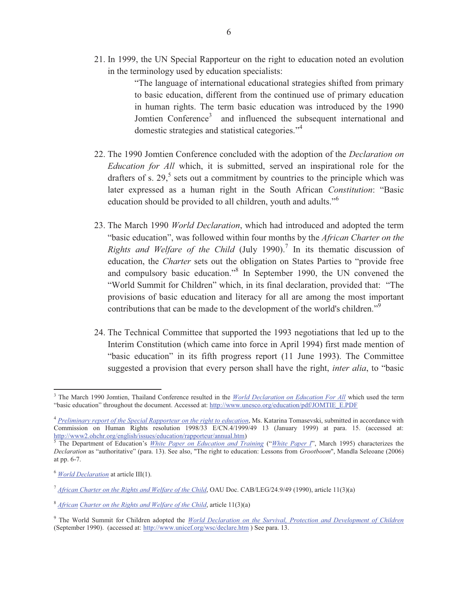21. In 1999, the UN Special Rapporteur on the right to education noted an evolution in the terminology used by education specialists:

> "The language of international educational strategies shifted from primary to basic education, different from the continued use of primary education in human rights. The term basic education was introduced by the 1990 Jomtien Conference<sup>3</sup> and influenced the subsequent international and domestic strategies and statistical categories."<sup>4</sup>

- 22. The 1990 Jomtien Conference concluded with the adoption of the *Declaration on Education for All* which, it is submitted, served an inspirational role for the drafters of s.  $29<sup>5</sup>$  sets out a commitment by countries to the principle which was later expressed as a human right in the South African *Constitution*: "Basic education should be provided to all children, youth and adults."<sup>6</sup>
- 23. The March 1990 *World Declaration*, which had introduced and adopted the term "basic education", was followed within four months by the *African Charter on the Rights and Welfare of the Child* (July 1990).<sup>7</sup> In its thematic discussion of education, the *Charter* sets out the obligation on States Parties to "provide free and compulsory basic education."<sup>8</sup> In September 1990, the UN convened the "World Summit for Children" which, in its final declaration, provided that: "The provisions of basic education and literacy for all are among the most important contributions that can be made to the development of the world's children."<sup>9</sup>
- 24. The Technical Committee that supported the 1993 negotiations that led up to the Interim Constitution (which came into force in April 1994) first made mention of "basic education" in its fifth progress report (11 June 1993). The Committee suggested a provision that every person shall have the right, *inter alia*, to "basic

<sup>3</sup> The March 1990 Jomtien, Thailand Conference resulted in the *World Declaration on Education For All* which used the term "basic education" throughout the document. Accessed at: http://www.unesco.org/education/pdf/JOMTIE\_E.PDF

<sup>&</sup>lt;sup>4</sup> Preliminary report of the Special Rapporteur on the right to education, Ms. Katarina Tomasevski, submitted in accordance with Commission on Human Rights resolution 1998/33 E/CN.4/1999/49 13 (January 1999) at para. 15. (accessed at: http://www2.ohchr.org/english/issues/education/rapporteur/annual.htm)

<sup>5</sup> The Department of Education's *White Paper on Education and Training* ("*White Paper I*", March 1995) characterizes the *Declaration* as "authoritative" (para. 13). See also, "The right to education: Lessons from *Grootboom*", Mandla Seleoane (2006) at pp. 6-7.

<sup>6</sup> *World Declaration* at article III(1).

<sup>7</sup> *African Charter on the Rights and Welfare of the Child*, OAU Doc. CAB/LEG/24.9/49 (1990), article 11(3)(a)

<sup>8</sup> *African Charter on the Rights and Welfare of the Child*, article 11(3)(a)

<sup>9</sup> The World Summit for Children adopted the *World Declaration on the Survival, Protection and Development of Children* (September 1990). (accessed at: http://www.unicef.org/wsc/declare.htm ) See para. 13.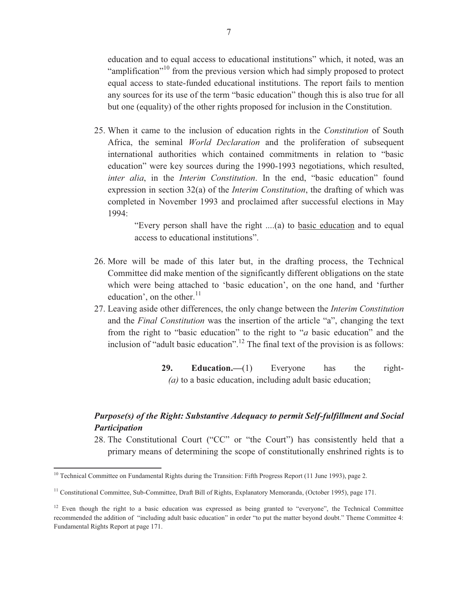education and to equal access to educational institutions" which, it noted, was an "amplification"<sup>10</sup> from the previous version which had simply proposed to protect equal access to state-funded educational institutions. The report fails to mention any sources for its use of the term "basic education" though this is also true for all but one (equality) of the other rights proposed for inclusion in the Constitution.

25. When it came to the inclusion of education rights in the *Constitution* of South Africa, the seminal *World Declaration* and the proliferation of subsequent international authorities which contained commitments in relation to "basic education" were key sources during the 1990-1993 negotiations, which resulted, *inter alia*, in the *Interim Constitution*. In the end, "basic education" found expression in section 32(a) of the *Interim Constitution*, the drafting of which was completed in November 1993 and proclaimed after successful elections in May 1994:

> "Every person shall have the right ....(a) to basic education and to equal access to educational institutions".

- 26. More will be made of this later but, in the drafting process, the Technical Committee did make mention of the significantly different obligations on the state which were being attached to 'basic education', on the one hand, and 'further education', on the other. $^{11}$
- 27. Leaving aside other differences, the only change between the *Interim Constitution*  and the *Final Constitution* was the insertion of the article "a", changing the text from the right to "basic education" to the right to "*a* basic education" and the inclusion of "adult basic education".<sup>12</sup> The final text of the provision is as follows:

**29. Education.—**(1) Everyone has the right-  *(a)* to a basic education, including adult basic education;

# *Purpose(s) of the Right: Substantive Adequacy to permit Self-fulfillment and Social Participation*

28. The Constitutional Court ("CC" or "the Court") has consistently held that a primary means of determining the scope of constitutionally enshrined rights is to

<sup>&</sup>lt;sup>10</sup> Technical Committee on Fundamental Rights during the Transition: Fifth Progress Report (11 June 1993), page 2.

<sup>&</sup>lt;sup>11</sup> Constitutional Committee, Sub-Committee, Draft Bill of Rights, Explanatory Memoranda, (October 1995), page 171.

<sup>&</sup>lt;sup>12</sup> Even though the right to a basic education was expressed as being granted to "everyone", the Technical Committee recommended the addition of "including adult basic education" in order "to put the matter beyond doubt." Theme Committee 4: Fundamental Rights Report at page 171.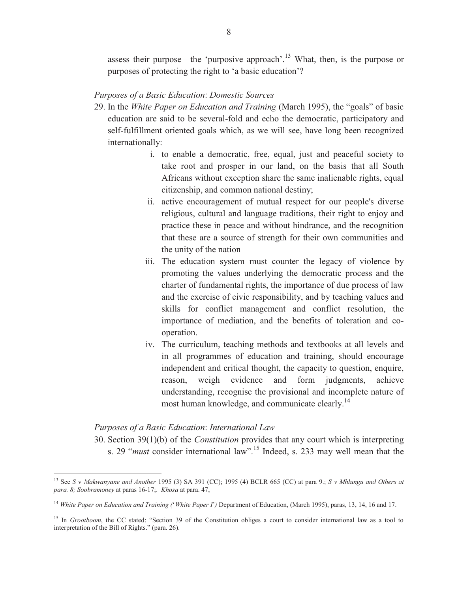assess their purpose—the 'purposive approach'.<sup>13</sup> What, then, is the purpose or purposes of protecting the right to 'a basic education'?

# *Purposes of a Basic Education*: *Domestic Sources*

- 29. In the *White Paper on Education and Training* (March 1995), the "goals" of basic education are said to be several-fold and echo the democratic, participatory and self-fulfillment oriented goals which, as we will see, have long been recognized internationally:
	- i. to enable a democratic, free, equal, just and peaceful society to take root and prosper in our land, on the basis that all South Africans without exception share the same inalienable rights, equal citizenship, and common national destiny;
	- ii. active encouragement of mutual respect for our people's diverse religious, cultural and language traditions, their right to enjoy and practice these in peace and without hindrance, and the recognition that these are a source of strength for their own communities and the unity of the nation
	- iii. The education system must counter the legacy of violence by promoting the values underlying the democratic process and the charter of fundamental rights, the importance of due process of law and the exercise of civic responsibility, and by teaching values and skills for conflict management and conflict resolution, the importance of mediation, and the benefits of toleration and cooperation.
	- iv. The curriculum, teaching methods and textbooks at all levels and in all programmes of education and training, should encourage independent and critical thought, the capacity to question, enquire, reason, weigh evidence and form judgments, achieve understanding, recognise the provisional and incomplete nature of most human knowledge, and communicate clearly.<sup>14</sup>

# *Purposes of a Basic Education*: *International Law*

 $\overline{a}$ 

30. Section 39(1)(b) of the *Constitution* provides that any court which is interpreting s. 29 "*must* consider international law".<sup>15</sup> Indeed, s. 233 may well mean that the

<sup>13</sup> See *S* v *Makwanyane and Another* 1995 (3) SA 391 (CC); 1995 (4) BCLR 665 (CC) at para 9.; *S v Mhlungu and Others at para. 8; Soobramoney* at paras 16-17;. *Khosa* at para. 47,

<sup>14</sup> *White Paper on Education and Training (*'*White Paper I*'*)* Department of Education, (March 1995), paras, 13, 14, 16 and 17.

<sup>&</sup>lt;sup>15</sup> In *Grootboom*, the CC stated: "Section 39 of the Constitution obliges a court to consider international law as a tool to interpretation of the Bill of Rights." (para. 26).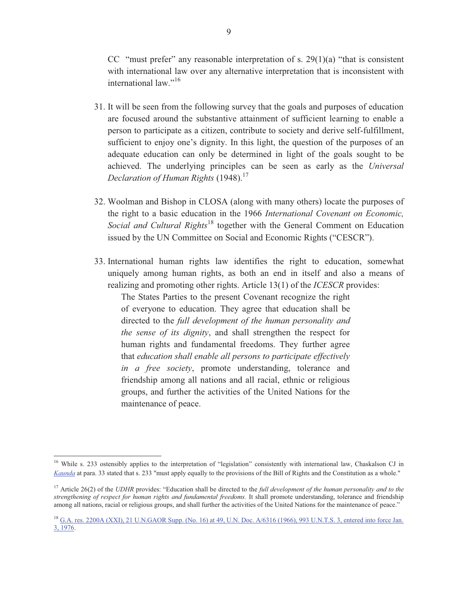CC "must prefer" any reasonable interpretation of s.  $29(1)(a)$  "that is consistent with international law over any alternative interpretation that is inconsistent with international law."<sup>16</sup>

- 31. It will be seen from the following survey that the goals and purposes of education are focused around the substantive attainment of sufficient learning to enable a person to participate as a citizen, contribute to society and derive self-fulfillment, sufficient to enjoy one's dignity. In this light, the question of the purposes of an adequate education can only be determined in light of the goals sought to be achieved. The underlying principles can be seen as early as the *Universal Declaration of Human Rights* (1948).<sup>17</sup>
- 32. Woolman and Bishop in CLOSA (along with many others) locate the purposes of the right to a basic education in the 1966 *International Covenant on Economic, Social and Cultural Rights*<sup>18</sup> together with the General Comment on Education issued by the UN Committee on Social and Economic Rights ("CESCR").
- 33. International human rights law identifies the right to education, somewhat uniquely among human rights, as both an end in itself and also a means of realizing and promoting other rights. Article 13(1) of the *ICESCR* provides:

The States Parties to the present Covenant recognize the right of everyone to education. They agree that education shall be directed to the *full development of the human personality and the sense of its dignity*, and shall strengthen the respect for human rights and fundamental freedoms. They further agree that *education shall enable all persons to participate effectively in a free society*, promote understanding, tolerance and friendship among all nations and all racial, ethnic or religious groups, and further the activities of the United Nations for the maintenance of peace.

<sup>&</sup>lt;sup>16</sup> While s. 233 ostensibly applies to the interpretation of "legislation" consistently with international law, Chaskalson CJ in *Kaunda* at para. 33 stated that s. 233 "must apply equally to the provisions of the Bill of Rights and the Constitution as a whole."

<sup>&</sup>lt;sup>17</sup> Article 26(2) of the *UDHR* provides: "Education shall be directed to the *full development of the human personality and to the strengthening of respect for human rights and fundamental freedoms.* It shall promote understanding, tolerance and friendship among all nations, racial or religious groups, and shall further the activities of the United Nations for the maintenance of peace."

<sup>&</sup>lt;sup>18</sup> G.A. res. 2200A (XXI), 21 U.N.GAOR Supp. (No. 16) at 49, U.N. Doc. A/6316 (1966), 993 U.N.T.S. 3, entered into force Jan. 3, 1976.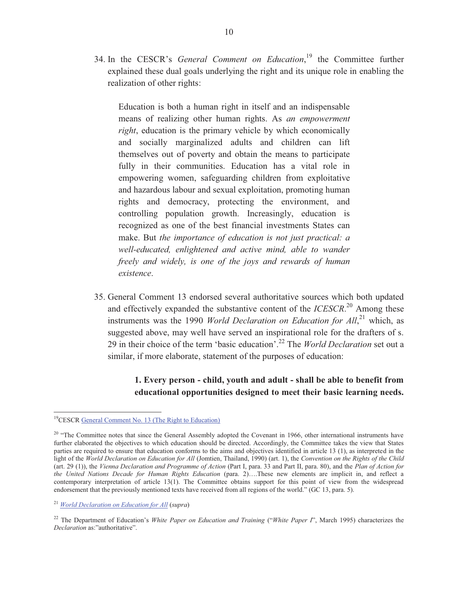34. In the CESCR's *General Comment on Education*, <sup>19</sup> the Committee further explained these dual goals underlying the right and its unique role in enabling the realization of other rights:

Education is both a human right in itself and an indispensable means of realizing other human rights. As *an empowerment right*, education is the primary vehicle by which economically and socially marginalized adults and children can lift themselves out of poverty and obtain the means to participate fully in their communities. Education has a vital role in empowering women, safeguarding children from exploitative and hazardous labour and sexual exploitation, promoting human rights and democracy, protecting the environment, and controlling population growth. Increasingly, education is recognized as one of the best financial investments States can make. But *the importance of education is not just practical: a well-educated, enlightened and active mind, able to wander freely and widely, is one of the joys and rewards of human existence*.

35. General Comment 13 endorsed several authoritative sources which both updated and effectively expanded the substantive content of the *ICESCR*. <sup>20</sup> Among these instruments was the 1990 *World Declaration on Education for All*,<sup>21</sup> which, as suggested above, may well have served an inspirational role for the drafters of s. 29 in their choice of the term 'basic education'. <sup>22</sup> The *World Declaration* set out a similar, if more elaborate, statement of the purposes of education:

> **1. Every person - child, youth and adult - shall be able to benefit from educational opportunities designed to meet their basic learning needs.**

<sup>19</sup>CESCR General Comment No. 13 (The Right to Education)

 $20$  "The Committee notes that since the General Assembly adopted the Covenant in 1966, other international instruments have further elaborated the objectives to which education should be directed. Accordingly, the Committee takes the view that States parties are required to ensure that education conforms to the aims and objectives identified in article 13 (1), as interpreted in the light of the *World Declaration on Education for All* (Jomtien, Thailand, 1990) (art. 1), the *Convention on the Rights of the Child* (art. 29 (1)), the *Vienna Declaration and Programme of Action* (Part I, para. 33 and Part II, para. 80), and the *Plan of Action for the United Nations Decade for Human Rights Education* (para. 2)….These new elements are implicit in, and reflect a contemporary interpretation of article 13(1). The Committee obtains support for this point of view from the widespread endorsement that the previously mentioned texts have received from all regions of the world." (GC 13, para. 5).

<sup>21</sup> *World Declaration on Education for All* (*supra*)

<sup>22</sup> The Department of Education's *White Paper on Education and Training* ("*White Paper I*", March 1995) characterizes the *Declaration* as:"authoritative".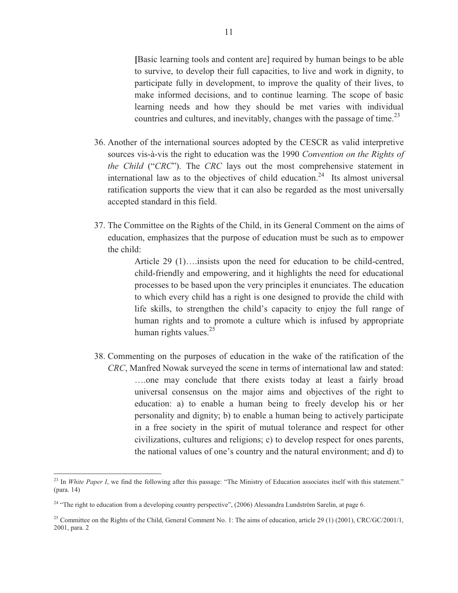**[**Basic learning tools and content are] required by human beings to be able to survive, to develop their full capacities, to live and work in dignity, to participate fully in development, to improve the quality of their lives, to make informed decisions, and to continue learning. The scope of basic learning needs and how they should be met varies with individual countries and cultures, and inevitably, changes with the passage of time.<sup>23</sup>

- 36. Another of the international sources adopted by the CESCR as valid interpretive sources vis-à-vis the right to education was the 1990 *Convention on the Rights of the Child* ("*CRC*"). The *CRC* lays out the most comprehensive statement in international law as to the objectives of child education.<sup>24</sup> Its almost universal ratification supports the view that it can also be regarded as the most universally accepted standard in this field.
- 37. The Committee on the Rights of the Child, in its General Comment on the aims of education, emphasizes that the purpose of education must be such as to empower the child:

Article 29 (1)….insists upon the need for education to be child-centred, child-friendly and empowering, and it highlights the need for educational processes to be based upon the very principles it enunciates. The education to which every child has a right is one designed to provide the child with life skills, to strengthen the child's capacity to enjoy the full range of human rights and to promote a culture which is infused by appropriate human rights values. $25$ 

38. Commenting on the purposes of education in the wake of the ratification of the *CRC*, Manfred Nowak surveyed the scene in terms of international law and stated: ….one may conclude that there exists today at least a fairly broad universal consensus on the major aims and objectives of the right to education: a) to enable a human being to freely develop his or her personality and dignity; b) to enable a human being to actively participate in a free society in the spirit of mutual tolerance and respect for other civilizations, cultures and religions; c) to develop respect for ones parents, the national values of one's country and the natural environment; and d) to

<sup>&</sup>lt;sup>23</sup> In *White Paper I*, we find the following after this passage: "The Ministry of Education associates itself with this statement." (para. 14)

<sup>&</sup>lt;sup>24</sup> "The right to education from a developing country perspective", (2006) Alessandra Lundström Sarelin, at page 6.

<sup>&</sup>lt;sup>25</sup> Committee on the Rights of the Child, General Comment No. 1: The aims of education, article 29 (1) (2001), CRC/GC/2001/1, 2001, para. 2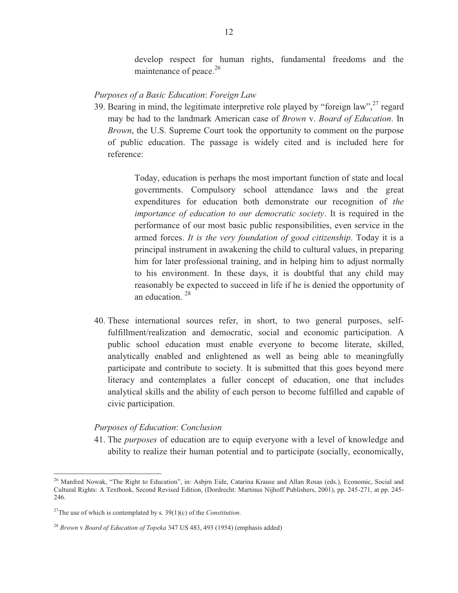develop respect for human rights, fundamental freedoms and the maintenance of peace.<sup>26</sup>

#### *Purposes of a Basic Education*: *Foreign Law*

39. Bearing in mind, the legitimate interpretive role played by "foreign law",  $27$  regard may be had to the landmark American case of *Brown* v. *Board of Education*. In *Brown*, the U.S. Supreme Court took the opportunity to comment on the purpose of public education. The passage is widely cited and is included here for reference:

> Today, education is perhaps the most important function of state and local governments. Compulsory school attendance laws and the great expenditures for education both demonstrate our recognition of *the importance of education to our democratic society*. It is required in the performance of our most basic public responsibilities, even service in the armed forces. *It is the very foundation of good citizenship*. Today it is a principal instrument in awakening the child to cultural values, in preparing him for later professional training, and in helping him to adjust normally to his environment. In these days, it is doubtful that any child may reasonably be expected to succeed in life if he is denied the opportunity of an education. <sup>28</sup>

40. These international sources refer, in short, to two general purposes, selffulfillment/realization and democratic, social and economic participation. A public school education must enable everyone to become literate, skilled, analytically enabled and enlightened as well as being able to meaningfully participate and contribute to society. It is submitted that this goes beyond mere literacy and contemplates a fuller concept of education, one that includes analytical skills and the ability of each person to become fulfilled and capable of civic participation.

# *Purposes of Education*: *Conclusion*

41. The *purposes* of education are to equip everyone with a level of knowledge and ability to realize their human potential and to participate (socially, economically,

<sup>&</sup>lt;sup>26</sup> Manfred Nowak, "The Right to Education", in: Asbjrn Eide, Catarina Krause and Allan Rosas (eds.), Economic, Social and Cultural Rights: A Textbook, Second Revised Edition, (Dordrecht: Martinus Nijhoff Publishers, 2001), pp. 245-271, at pp. 245- 246.

<sup>&</sup>lt;sup>27</sup>The use of which is contemplated by s. 39(1)(c) of the *Constitution*.

<sup>28</sup> *Brown* v *Board of Education of Topeka* 347 US 483, 493 (1954) (emphasis added)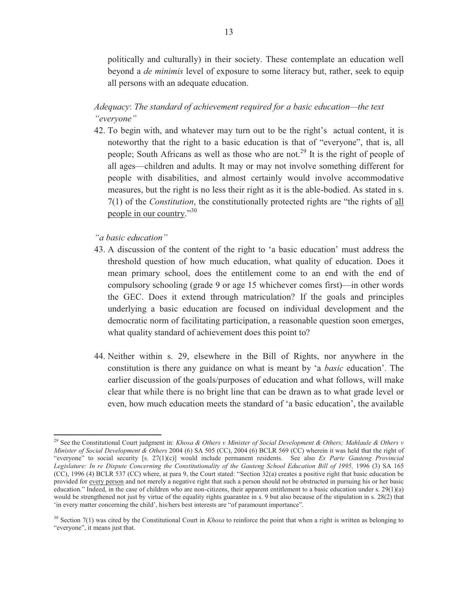politically and culturally) in their society. These contemplate an education well beyond a *de minimis* level of exposure to some literacy but, rather, seek to equip all persons with an adequate education.

*Adequacy*: *The standard of achievement required for a basic education—the text "everyone"*

42. To begin with, and whatever may turn out to be the right's actual content, it is noteworthy that the right to a basic education is that of "everyone", that is, all people; South Africans as well as those who are not.<sup>29</sup> It is the right of people of all ages—children and adults. It may or may not involve something different for people with disabilities, and almost certainly would involve accommodative measures, but the right is no less their right as it is the able-bodied. As stated in s. 7(1) of the *Constitution*, the constitutionally protected rights are "the rights of all people in our country."30

*"a basic education"*

- 43. A discussion of the content of the right to 'a basic education' must address the threshold question of how much education, what quality of education. Does it mean primary school, does the entitlement come to an end with the end of compulsory schooling (grade 9 or age 15 whichever comes first)—in other words the GEC. Does it extend through matriculation? If the goals and principles underlying a basic education are focused on individual development and the democratic norm of facilitating participation, a reasonable question soon emerges, what quality standard of achievement does this point to?
- 44. Neither within s. 29, elsewhere in the Bill of Rights, nor anywhere in the constitution is there any guidance on what is meant by 'a *basic* education'. The earlier discussion of the goals/purposes of education and what follows, will make clear that while there is no bright line that can be drawn as to what grade level or even, how much education meets the standard of 'a basic education', the available

<sup>29</sup> See the Constitutional Court judgment in: *Khosa & Others v Minister of Social Development & Others; Mahlaule & Others v Minister of Social Development & Others* 2004 (6) SA 505 (CC), 2004 (6) BCLR 569 (CC) wherein it was held that the right of "everyone" to social security [s. 27(1)(c)] would include permanent residents. See also *Ex Parte Gauteng Provincial*  Legislature: In re Dispute Concerning the Constitutionality of the Gauteng School Education Bill of 1995, 1996 (3) SA 165 (CC), 1996 (4) BCLR 537 (CC) where, at para 9, the Court stated: "Section 32(a) creates a positive right that basic education be provided for every person and not merely a negative right that such a person should not be obstructed in pursuing his or her basic education." Indeed, in the case of children who are non-citizens, their apparent entitlement to a basic education under s.  $29(1)(a)$ would be strengthened not just by virtue of the equality rights guarantee in s. 9 but also because of the stipulation in s. 28(2) that 'in every matter concerning the child', his/hers best interests are "of paramount importance".

<sup>&</sup>lt;sup>30</sup> Section 7(1) was cited by the Constitutional Court in *Khosa* to reinforce the point that when a right is written as belonging to "everyone", it means just that.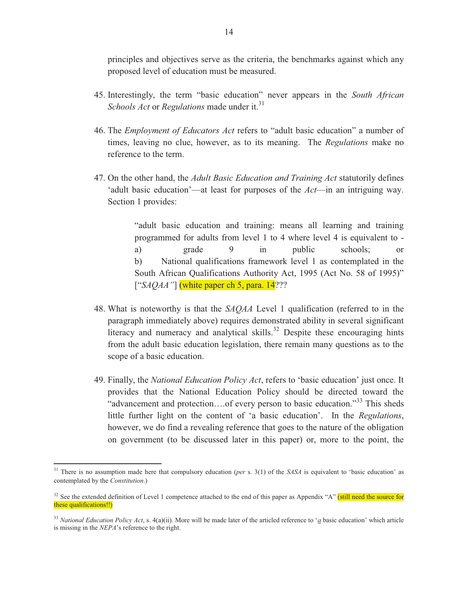principles and objectives serve as the criteria, the benchmarks against which any proposed level of education must be measured.

- 45. Interestingly, the term "basic education" never appears in the *South African Schools Act* or *Regulations* made under it.<sup>31</sup>
- 46. The *Employment of Educators Act* refers to "adult basic education" a number of times, leaving no clue, however, as to its meaning. The *Regulations* make no reference to the term.
- 47. On the other hand, the *Adult Basic Education and Training Act* statutorily defines 'adult basic education'—at least for purposes of the *Act*—in an intriguing way. Section 1 provides:

"adult basic education and training: means all learning and training programmed for adults from level 1 to 4 where level 4 is equivalent to a) grade 9 in public schools; or b) National qualifications framework level 1 as contemplated in the South African Qualifications Authority Act, 1995 (Act No. 58 of 1995)" ["*SAQAA*"] (white paper ch 5, para. 14???

- 48. What is noteworthy is that the *SAQAA* Level 1 qualification (referred to in the paragraph immediately above) requires demonstrated ability in several significant literacy and numeracy and analytical skills.<sup>32</sup> Despite these encouraging hints from the adult basic education legislation, there remain many questions as to the scope of a basic education.
- 49. Finally, the *National Education Policy Act*, refers to 'basic education' just once. It provides that the National Education Policy should be directed toward the "advancement and protection....of every person to basic education."<sup>33</sup> This sheds little further light on the content of 'a basic education'. In the *Regulations*, however, we do find a revealing reference that goes to the nature of the obligation on government (to be discussed later in this paper) or, more to the point, the

<sup>31</sup> There is no assumption made here that compulsory education (*per* s. 3(1) of the *SASA* is equivalent to 'basic education' as contemplated by the *Constitution*.)

 $32$  See the extended definition of Level 1 competence attached to the end of this paper as Appendix "A" (still need the source for these qualifications!!)

<sup>33</sup> *National Education Policy Act*, s. 4(a)(ii). More will be made later of the articled reference to '*a* basic education' which article is missing in the *NEPA*'s reference to the right.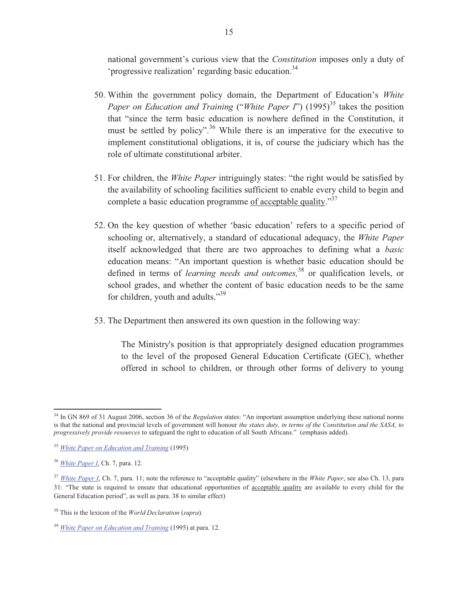national government's curious view that the *Constitution* imposes only a duty of 'progressive realization' regarding basic education.<sup>34</sup>

- 50. Within the government policy domain, the Department of Education's *White Paper on Education and Training ("White Paper I")* (1995)<sup>35</sup> takes the position that "since the term basic education is nowhere defined in the Constitution, it must be settled by policy".<sup>36</sup> While there is an imperative for the executive to implement constitutional obligations, it is, of course the judiciary which has the role of ultimate constitutional arbiter.
- 51. For children, the *White Paper* intriguingly states: "the right would be satisfied by the availability of schooling facilities sufficient to enable every child to begin and complete a basic education programme of acceptable quality."<sup>37</sup>
- 52. On the key question of whether 'basic education' refers to a specific period of schooling or, alternatively, a standard of educational adequacy, the *White Paper* itself acknowledged that there are two approaches to defining what a *basic* education means: "An important question is whether basic education should be defined in terms of *learning needs and outcomes,*<sup>38</sup> or qualification levels, or school grades, and whether the content of basic education needs to be the same for children, youth and adults."<sup>39</sup>
- 53. The Department then answered its own question in the following way:

The Ministry's position is that appropriately designed education programmes to the level of the proposed General Education Certificate (GEC), whether offered in school to children, or through other forms of delivery to young

<sup>34</sup> In GN 869 of 31 August 2006, section 36 of the *Regulation* states: "An important assumption underlying these national norms is that the national and provincial levels of government will honour *the states duty, in terms of the Constitution and the SASA, to progressively provide resources* to safeguard the right to education of all South Africans." (emphasis added).

<sup>35</sup> *White Paper on Education and Training* (1995)

<sup>36</sup> *White Paper I*, Ch. 7, para. 12.

<sup>37</sup> *White Paper I*, Ch. 7, para. 11; note the reference to "acceptable quality" (elsewhere in the *White Paper*, see also Ch. 13, para 31: "The state is required to ensure that educational opportunities of acceptable quality are available to every child for the General Education period", as well as para. 38 to similar effect)

<sup>38</sup> This is the lexicon of the *World Declaration* (*supra*).

<sup>39</sup> *White Paper on Education and Training* (1995) at para. 12.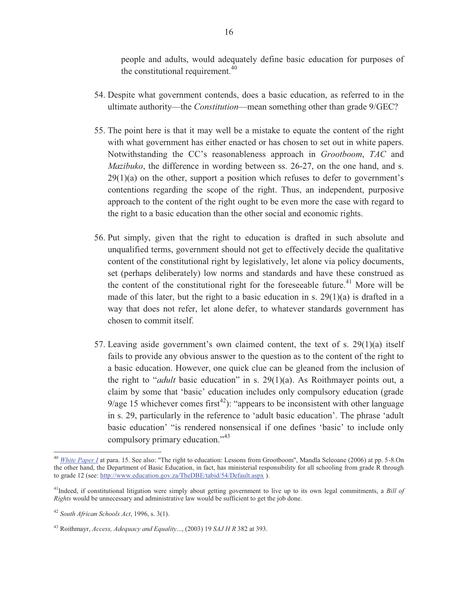people and adults, would adequately define basic education for purposes of the constitutional requirement.<sup>40</sup>

- 54. Despite what government contends, does a basic education, as referred to in the ultimate authority—the *Constitution*—mean something other than grade 9/GEC?
- 55. The point here is that it may well be a mistake to equate the content of the right with what government has either enacted or has chosen to set out in white papers. Notwithstanding the CC's reasonableness approach in *Grootboom*, *TAC* and *Mazibuko*, the difference in wording between ss. 26-27, on the one hand, and s.  $29(1)(a)$  on the other, support a position which refuses to defer to government's contentions regarding the scope of the right. Thus, an independent, purposive approach to the content of the right ought to be even more the case with regard to the right to a basic education than the other social and economic rights.
- 56. Put simply, given that the right to education is drafted in such absolute and unqualified terms, government should not get to effectively decide the qualitative content of the constitutional right by legislatively, let alone via policy documents, set (perhaps deliberately) low norms and standards and have these construed as the content of the constitutional right for the foreseeable future.<sup>41</sup> More will be made of this later, but the right to a basic education in s. 29(1)(a) is drafted in a way that does not refer, let alone defer, to whatever standards government has chosen to commit itself.
- 57. Leaving aside government's own claimed content, the text of s. 29(1)(a) itself fails to provide any obvious answer to the question as to the content of the right to a basic education. However, one quick clue can be gleaned from the inclusion of the right to "*adult* basic education" in s. 29(1)(a). As Roithmayer points out, a claim by some that 'basic' education includes only compulsory education (grade 9/age 15 whichever comes first<sup>42</sup>): "appears to be inconsistent with other language in s. 29, particularly in the reference to 'adult basic education'. The phrase 'adult basic education' "is rendered nonsensical if one defines 'basic' to include only compulsory primary education."<sup>43</sup>

<sup>40</sup> *White Paper I* at para. 15. See also: "The right to education: Lessons from Grootboom", Mandla Seleoane (2006) at pp. 5-8.On the other hand, the Department of Basic Education, in fact, has ministerial responsibility for all schooling from grade R through to grade 12 (see: http://www.education.gov.za/TheDBE/tabid/54/Default.aspx ).

<sup>41</sup>Indeed, if constitutional litigation were simply about getting government to live up to its own legal commitments, a *Bill of Rights* would be unnecessary and administrative law would be sufficient to get the job done.

<sup>42</sup> *South African Schools Act*, 1996, s. 3(1).

<sup>43</sup> Roithmayr, *Access, Adequacy and Equality*..., (2003) 19 *SAJ H R* 382 at 393.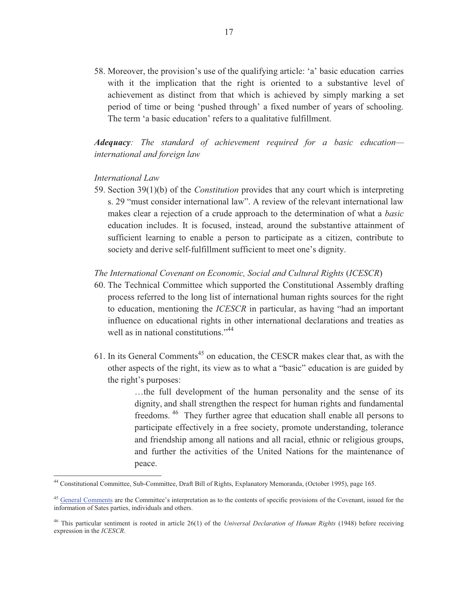58. Moreover, the provision's use of the qualifying article: 'a' basic education carries with it the implication that the right is oriented to a substantive level of achievement as distinct from that which is achieved by simply marking a set period of time or being 'pushed through' a fixed number of years of schooling. The term 'a basic education' refers to a qualitative fulfillment.

*Adequacy: The standard of achievement required for a basic education international and foreign law* 

#### *International Law*

 $\overline{a}$ 

59. Section 39(1)(b) of the *Constitution* provides that any court which is interpreting s. 29 "must consider international law". A review of the relevant international law makes clear a rejection of a crude approach to the determination of what a *basic* education includes. It is focused, instead, around the substantive attainment of sufficient learning to enable a person to participate as a citizen, contribute to society and derive self-fulfillment sufficient to meet one's dignity.

#### *The International Covenant on Economic, Social and Cultural Rights* (*ICESCR*)

- 60. The Technical Committee which supported the Constitutional Assembly drafting process referred to the long list of international human rights sources for the right to education, mentioning the *ICESCR* in particular, as having "had an important influence on educational rights in other international declarations and treaties as well as in national constitutions."<sup>44</sup>
- 61. In its General Comments<sup>45</sup> on education, the CESCR makes clear that, as with the other aspects of the right, its view as to what a "basic" education is are guided by the right's purposes:

…the full development of the human personality and the sense of its dignity, and shall strengthen the respect for human rights and fundamental freedoms.<sup>46</sup> They further agree that education shall enable all persons to participate effectively in a free society, promote understanding, tolerance and friendship among all nations and all racial, ethnic or religious groups, and further the activities of the United Nations for the maintenance of peace.

<sup>44</sup> Constitutional Committee, Sub-Committee, Draft Bill of Rights, Explanatory Memoranda, (October 1995), page 165.

<sup>&</sup>lt;sup>45</sup> General Comments are the Committee's interpretation as to the contents of specific provisions of the Covenant, issued for the information of Sates parties, individuals and others.

<sup>46</sup> This particular sentiment is rooted in article 26(1) of the *Universal Declaration of Human Rights* (1948) before receiving expression in the *ICESCR*.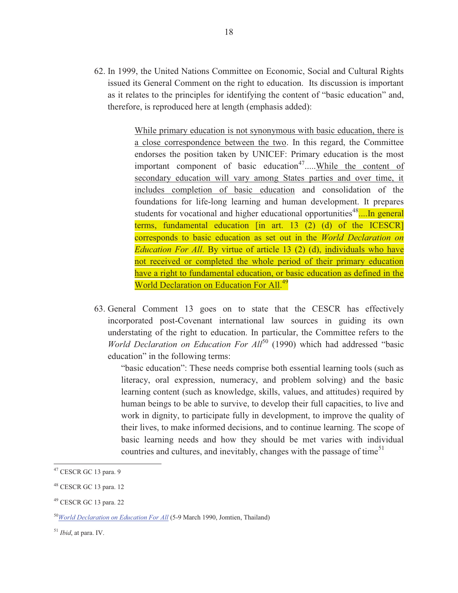62. In 1999, the United Nations Committee on Economic, Social and Cultural Rights issued its General Comment on the right to education. Its discussion is important as it relates to the principles for identifying the content of "basic education" and, therefore, is reproduced here at length (emphasis added):

> While primary education is not synonymous with basic education, there is a close correspondence between the two. In this regard, the Committee endorses the position taken by UNICEF: Primary education is the most important component of basic education<sup>47</sup> $\dots$ While the content of secondary education will vary among States parties and over time, it includes completion of basic education and consolidation of the foundations for life-long learning and human development. It prepares students for vocational and higher educational opportunities<sup>48</sup> $\dots$ In general terms, fundamental education [in art. 13 (2) (d) of the ICESCR] corresponds to basic education as set out in the *World Declaration on Education For All*. By virtue of article 13 (2) (d), individuals who have not received or completed the whole period of their primary education have a right to fundamental education, or basic education as defined in the World Declaration on Education For All.<sup>49</sup>

63. General Comment 13 goes on to state that the CESCR has effectively incorporated post-Covenant international law sources in guiding its own understating of the right to education. In particular, the Committee refers to the *World Declaration on Education For All*<sup>50</sup> (1990) which had addressed "basic education" in the following terms:

"basic education": These needs comprise both essential learning tools (such as literacy, oral expression, numeracy, and problem solving) and the basic learning content (such as knowledge, skills, values, and attitudes) required by human beings to be able to survive, to develop their full capacities, to live and work in dignity, to participate fully in development, to improve the quality of their lives, to make informed decisions, and to continue learning. The scope of basic learning needs and how they should be met varies with individual countries and cultures, and inevitably, changes with the passage of time<sup>51</sup>

 $47$  CESCR GC 13 para. 9

<sup>48</sup> CESCR GC 13 para. 12

<sup>49</sup> CESCR GC 13 para. 22

<sup>50</sup>*World Declaration on Education For All* (5-9 March 1990, Jomtien, Thailand)

<sup>51</sup> *Ibid*, at para. IV.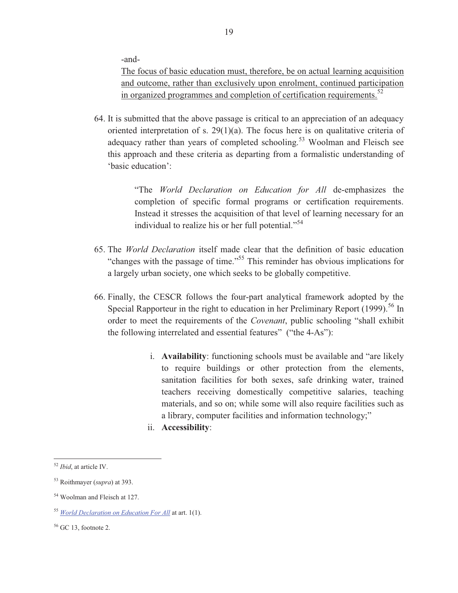-and-

The focus of basic education must, therefore, be on actual learning acquisition and outcome, rather than exclusively upon enrolment, continued participation in organized programmes and completion of certification requirements.<sup>52</sup>

64. It is submitted that the above passage is critical to an appreciation of an adequacy oriented interpretation of s. 29(1)(a). The focus here is on qualitative criteria of adequacy rather than years of completed schooling.<sup>53</sup> Woolman and Fleisch see this approach and these criteria as departing from a formalistic understanding of 'basic education':

> "The *World Declaration on Education for All* de-emphasizes the completion of specific formal programs or certification requirements. Instead it stresses the acquisition of that level of learning necessary for an individual to realize his or her full potential."<sup>54</sup>

- 65. The *World Declaration* itself made clear that the definition of basic education "changes with the passage of time."<sup>55</sup> This reminder has obvious implications for a largely urban society, one which seeks to be globally competitive.
- 66. Finally, the CESCR follows the four-part analytical framework adopted by the Special Rapporteur in the right to education in her Preliminary Report  $(1999)$ <sup>56</sup> In order to meet the requirements of the *Covenant*, public schooling "shall exhibit the following interrelated and essential features" ("the 4-As"):
	- i. **Availability**: functioning schools must be available and "are likely to require buildings or other protection from the elements, sanitation facilities for both sexes, safe drinking water, trained teachers receiving domestically competitive salaries, teaching materials, and so on; while some will also require facilities such as a library, computer facilities and information technology;"
	- ii. **Accessibility**:

<sup>52</sup> *Ibid*, at article IV.

<sup>53</sup> Roithmayer (*supra*) at 393.

<sup>54</sup> Woolman and Fleisch at 127.

<sup>55</sup> *World Declaration on Education For All* at art. 1(1).

 $56$  GC 13, footnote 2.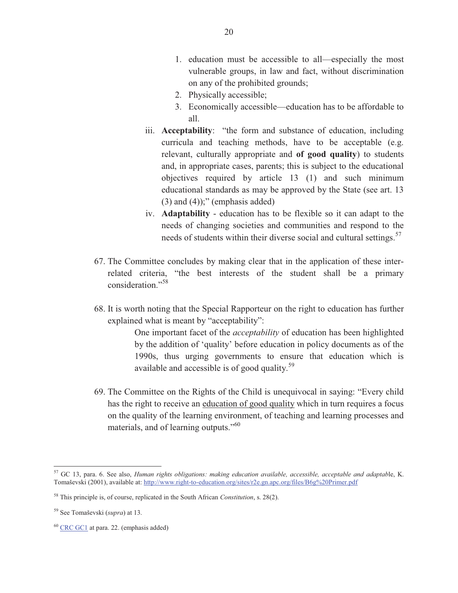- 1. education must be accessible to all—especially the most vulnerable groups, in law and fact, without discrimination on any of the prohibited grounds;
- 2. Physically accessible;
- 3. Economically accessible—education has to be affordable to all.
- iii. **Acceptability**: "the form and substance of education, including curricula and teaching methods, have to be acceptable (e.g. relevant, culturally appropriate and **of good quality**) to students and, in appropriate cases, parents; this is subject to the educational objectives required by article 13 (1) and such minimum educational standards as may be approved by the State (see art. 13  $(3)$  and  $(4)$ ;" (emphasis added)
- iv. **Adaptability** education has to be flexible so it can adapt to the needs of changing societies and communities and respond to the needs of students within their diverse social and cultural settings.<sup>57</sup>
- 67. The Committee concludes by making clear that in the application of these interrelated criteria, "the best interests of the student shall be a primary consideration."<sup>58</sup>
- 68. It is worth noting that the Special Rapporteur on the right to education has further explained what is meant by "acceptability":

One important facet of the *acceptability* of education has been highlighted by the addition of 'quality' before education in policy documents as of the 1990s, thus urging governments to ensure that education which is available and accessible is of good quality.<sup>59</sup>

69. The Committee on the Rights of the Child is unequivocal in saying: "Every child has the right to receive an education of good quality which in turn requires a focus on the quality of the learning environment, of teaching and learning processes and materials, and of learning outputs."<sup>60</sup>

<sup>57</sup> GC 13, para. 6. See also, *Human rights obligations: making education available, accessible, acceptable and adaptab*le, K. Tomaševski (2001), available at: http://www.right-to-education.org/sites/r2e.gn.apc.org/files/B6g%20Primer.pdf

<sup>58</sup> This principle is, of course, replicated in the South African *Constitution*, s. 28(2).

<sup>59</sup> See Tomaševski (*supra*) at 13.

<sup>60</sup> CRC GC1 at para. 22. (emphasis added)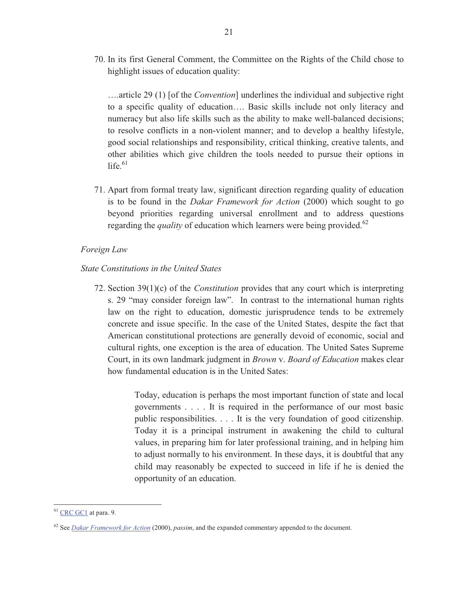70. In its first General Comment, the Committee on the Rights of the Child chose to highlight issues of education quality:

….article 29 (1) [of the *Convention*] underlines the individual and subjective right to a specific quality of education…. Basic skills include not only literacy and numeracy but also life skills such as the ability to make well-balanced decisions; to resolve conflicts in a non-violent manner; and to develop a healthy lifestyle, good social relationships and responsibility, critical thinking, creative talents, and other abilities which give children the tools needed to pursue their options in life. $61$ 

71. Apart from formal treaty law, significant direction regarding quality of education is to be found in the *Dakar Framework for Action* (2000) which sought to go beyond priorities regarding universal enrollment and to address questions regarding the *quality* of education which learners were being provided.<sup>62</sup>

#### *Foreign Law*

#### *State Constitutions in the United States*

72. Section 39(1)(c) of the *Constitution* provides that any court which is interpreting s. 29 "may consider foreign law". In contrast to the international human rights law on the right to education, domestic jurisprudence tends to be extremely concrete and issue specific. In the case of the United States, despite the fact that American constitutional protections are generally devoid of economic, social and cultural rights, one exception is the area of education. The United Sates Supreme Court, in its own landmark judgment in *Brown* v. *Board of Education* makes clear how fundamental education is in the United Sates:

> Today, education is perhaps the most important function of state and local governments . . . . It is required in the performance of our most basic public responsibilities. . . . It is the very foundation of good citizenship. Today it is a principal instrument in awakening the child to cultural values, in preparing him for later professional training, and in helping him to adjust normally to his environment. In these days, it is doubtful that any child may reasonably be expected to succeed in life if he is denied the opportunity of an education.

 $61$  CRC GC1 at para. 9.

<sup>62</sup> See *Dakar Framework for Action* (2000), *passim*, and the expanded commentary appended to the document.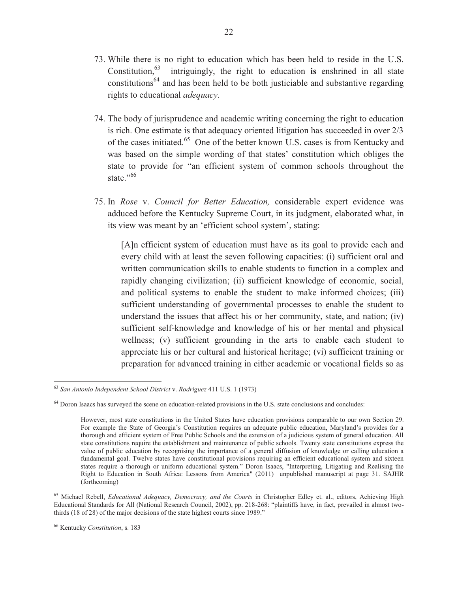- 73. While there is no right to education which has been held to reside in the U.S. Constitution,<sup>63</sup> intriguingly, the right to education **is** enshrined in all state constitutions<sup>64</sup> and has been held to be both justiciable and substantive regarding rights to educational *adequacy*.
- 74. The body of jurisprudence and academic writing concerning the right to education is rich. One estimate is that adequacy oriented litigation has succeeded in over 2/3 of the cases initiated.<sup>65</sup> One of the better known U.S. cases is from Kentucky and was based on the simple wording of that states' constitution which obliges the state to provide for "an efficient system of common schools throughout the state."<sup>66</sup>
- 75. In *Rose* v. *Council for Better Education,* considerable expert evidence was adduced before the Kentucky Supreme Court, in its judgment, elaborated what, in its view was meant by an 'efficient school system', stating:

[A]n efficient system of education must have as its goal to provide each and every child with at least the seven following capacities: (i) sufficient oral and written communication skills to enable students to function in a complex and rapidly changing civilization; (ii) sufficient knowledge of economic, social, and political systems to enable the student to make informed choices; (iii) sufficient understanding of governmental processes to enable the student to understand the issues that affect his or her community, state, and nation; (iv) sufficient self-knowledge and knowledge of his or her mental and physical wellness; (v) sufficient grounding in the arts to enable each student to appreciate his or her cultural and historical heritage; (vi) sufficient training or preparation for advanced training in either academic or vocational fields so as

<sup>63</sup> *San Antonio Independent School District* v. *Rodriguez* 411 U.S. 1 (1973)

<sup>&</sup>lt;sup>64</sup> Doron Isaacs has surveyed the scene on education-related provisions in the U.S. state conclusions and concludes:

However, most state constitutions in the United States have education provisions comparable to our own Section 29. For example the State of Georgia's Constitution requires an adequate public education, Maryland's provides for a thorough and efficient system of Free Public Schools and the extension of a judicious system of general education. All state constitutions require the establishment and maintenance of public schools. Twenty state constitutions express the value of public education by recognising the importance of a general diffusion of knowledge or calling education a fundamental goal. Twelve states have constitutional provisions requiring an efficient educational system and sixteen states require a thorough or uniform educational system." Doron Isaacs, "Interpreting, Litigating and Realising the Right to Education in South Africa: Lessons from America" (2011) unpublished manuscript at page 31. SAJHR (forthcoming)

<sup>&</sup>lt;sup>65</sup> Michael Rebell, *Educational Adequacy, Democracy, and the Courts* in Christopher Edley et. al., editors, Achieving High Educational Standards for All (National Research Council, 2002), pp. 218-268: "plaintiffs have, in fact, prevailed in almost twothirds (18 of 28) of the major decisions of the state highest courts since 1989."

<sup>66</sup> Kentucky *Constitution*, s. 183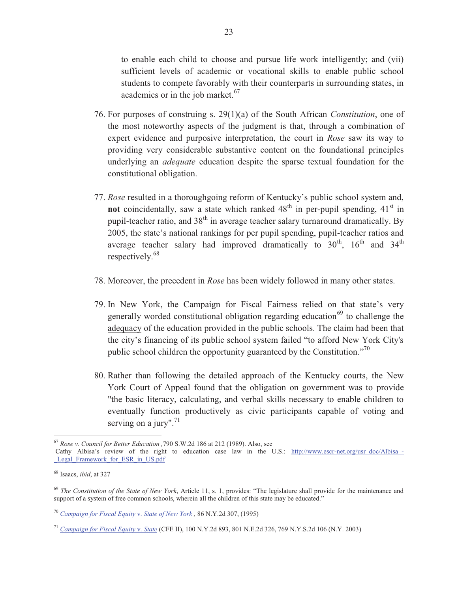to enable each child to choose and pursue life work intelligently; and (vii) sufficient levels of academic or vocational skills to enable public school students to compete favorably with their counterparts in surrounding states, in academics or in the job market.<sup>67</sup>

- 76. For purposes of construing s. 29(1)(a) of the South African *Constitution*, one of the most noteworthy aspects of the judgment is that, through a combination of expert evidence and purposive interpretation, the court in *Rose* saw its way to providing very considerable substantive content on the foundational principles underlying an *adequate* education despite the sparse textual foundation for the constitutional obligation.
- 77. *Rose* resulted in a thoroughgoing reform of Kentucky's public school system and, **not** coincidentally, saw a state which ranked  $48<sup>th</sup>$  in per-pupil spending,  $41<sup>st</sup>$  in pupil-teacher ratio, and  $38<sup>th</sup>$  in average teacher salary turnaround dramatically. By 2005, the state's national rankings for per pupil spending, pupil-teacher ratios and average teacher salary had improved dramatically to  $30<sup>th</sup>$ ,  $16<sup>th</sup>$  and  $34<sup>th</sup>$ respectively.<sup>68</sup>
- 78. Moreover, the precedent in *Rose* has been widely followed in many other states.
- 79. In New York, the Campaign for Fiscal Fairness relied on that state's very generally worded constitutional obligation regarding education<sup>69</sup> to challenge the adequacy of the education provided in the public schools. The claim had been that the city's financing of its public school system failed "to afford New York City's public school children the opportunity guaranteed by the Constitution."<sup>70</sup>
- 80. Rather than following the detailed approach of the Kentucky courts, the New York Court of Appeal found that the obligation on government was to provide "the basic literacy, calculating, and verbal skills necessary to enable children to eventually function productively as civic participants capable of voting and serving on a jury". $71$

<sup>67</sup> *Rose v. Council for Better Education ,*790 S.W.2d 186 at 212 (1989). Also, see

Cathy Albisa's review of the right to education case law in the U.S.: http://www.escr-net.org/usr\_doc/Albisa\_-Legal Framework for ESR in US.pdf

<sup>68</sup> Isaacs, *ibid*, at 327

<sup>69</sup> *The Constitution of the State of New York*, Article 11, s. 1, provides: "The legislature shall provide for the maintenance and support of a system of free common schools, wherein all the children of this state may be educated."

<sup>70</sup> *Campaign for Fiscal Equity* v. *State of New York ,* 86 N.Y.2d 307, (1995)

<sup>71</sup> *Campaign for Fiscal Equity* v. *State* (CFE II), 100 N.Y.2d 893, 801 N.E.2d 326, 769 N.Y.S.2d 106 (N.Y. 2003)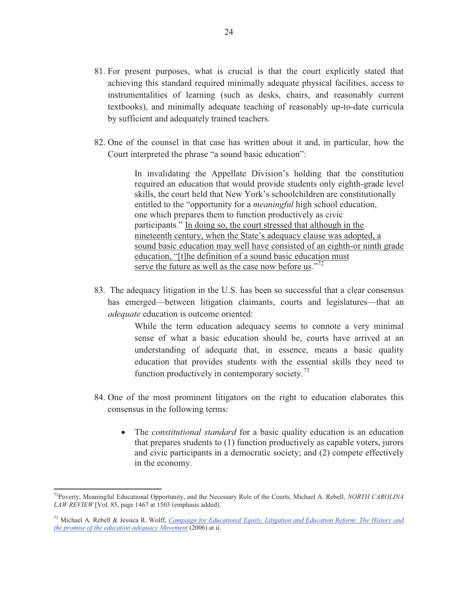- 81. For present purposes, what is crucial is that the court explicitly stated that achieving this standard required minimally adequate physical facilities, access to instrumentalities of learning (such as desks, chairs, and reasonably current textbooks), and minimally adequate teaching of reasonably up-to-date curricula by sufficient and adequately trained teachers.
- 82. One of the counsel in that case has written about it and, in particular, how the Court interpreted the phrase "a sound basic education":

In invalidating the Appellate Division's holding that the constitution required an education that would provide students only eighth-grade level skills, the court held that New York's schoolchildren are constitutionally entitled to the "opportunity for a *meaningful* high school education, one which prepares them to function productively as civic participants." In doing so, the court stressed that although in the nineteenth century, when the State's adequacy clause was adopted, a sound basic education may well have consisted of an eighth-or ninth grade education, "[t]he definition of a sound basic education must serve the future as well as the case now before us."<sup>72</sup>

83. The adequacy litigation in the U.S. has been so successful that a clear consensus has emerged—between litigation claimants, courts and legislatures—that an *adequate* education is outcome oriented:

> While the term education adequacy seems to connote a very minimal sense of what a basic education should be, courts have arrived at an understanding of adequate that, in essence, means a basic quality education that provides students with the essential skills they need to function productively in contemporary society.<sup>73</sup>

- 84. One of the most prominent litigators on the right to education elaborates this consensus in the following terms:
	- The *constitutional standard* for a basic quality education is an education that prepares students to (1) function productively as capable voters, jurors and civic participants in a democratic society; and (2) compete effectively in the economy.

<sup>72</sup>Poverty, Meaningful Educational Opportunity, and the Necessary Role of the Courts, Michael A. Rebell, *NORTH CAROLINA LAW REVIEW* [Vol. 85, page 1467 at 1503 (emphasis added).

<sup>73</sup> Michael A. Rebell & Jessica R. Wolff, *Campaign for Educational Equity, Litigation and Education Reform: The History and the promise of the education adequacy Movement* (2006) at ii.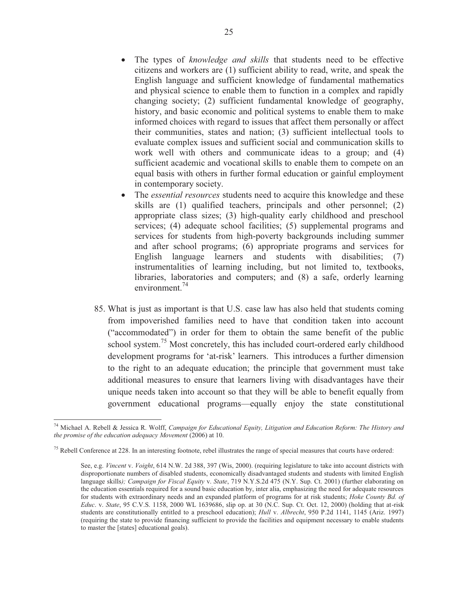- The types of *knowledge and skills* that students need to be effective citizens and workers are (1) sufficient ability to read, write, and speak the English language and sufficient knowledge of fundamental mathematics and physical science to enable them to function in a complex and rapidly changing society; (2) sufficient fundamental knowledge of geography, history, and basic economic and political systems to enable them to make informed choices with regard to issues that affect them personally or affect their communities, states and nation; (3) sufficient intellectual tools to evaluate complex issues and sufficient social and communication skills to work well with others and communicate ideas to a group; and (4) sufficient academic and vocational skills to enable them to compete on an equal basis with others in further formal education or gainful employment in contemporary society.
- The *essential resources* students need to acquire this knowledge and these skills are (1) qualified teachers, principals and other personnel; (2) appropriate class sizes; (3) high-quality early childhood and preschool services; (4) adequate school facilities; (5) supplemental programs and services for students from high-poverty backgrounds including summer and after school programs; (6) appropriate programs and services for English language learners and students with disabilities; (7) instrumentalities of learning including, but not limited to, textbooks, libraries, laboratories and computers; and (8) a safe, orderly learning environment. $^{74}$
- 85. What is just as important is that U.S. case law has also held that students coming from impoverished families need to have that condition taken into account ("accommodated") in order for them to obtain the same benefit of the public school system.<sup>75</sup> Most concretely, this has included court-ordered early childhood development programs for 'at-risk' learners. This introduces a further dimension to the right to an adequate education; the principle that government must take additional measures to ensure that learners living with disadvantages have their unique needs taken into account so that they will be able to benefit equally from government educational programs—equally enjoy the state constitutional

<sup>74</sup> Michael A. Rebell & Jessica R. Wolff, *Campaign for Educational Equity, Litigation and Education Reform: The History and the promise of the education adequacy Movement (2006)* at 10.

 $<sup>75</sup>$  Rebell Conference at 228. In an interesting footnote, rebel illustrates the range of special measures that courts have ordered:</sup>

See, e.g. *Vincent* v. *Voight*, 614 N.W. 2d 388, 397 (Wis, 2000). (requiring legislature to take into account districts with disproportionate numbers of disabled students, economically disadvantaged students and students with limited English language skills*); Campaign for Fiscal Equity* v. *State*, 719 N.Y.S.2d 475 (N.Y. Sup. Ct. 2001) (further elaborating on the education essentials required for a sound basic education by, inter alia, emphasizing the need for adequate resources for students with extraordinary needs and an expanded platform of programs for at risk students; *Hoke County Bd. of Educ*. v. *State*, 95 C.V.S. 1158, 2000 WL 1639686, slip op. at 30 (N.C. Sup. Ct. Oct. 12, 2000) (holding that at-risk students are constitutionally entitled to a preschool education); *Hull* v. *Albrecht*, 950 P.2d 1141, 1145 (Ariz. 1997) (requiring the state to provide financing sufficient to provide the facilities and equipment necessary to enable students to master the [states] educational goals).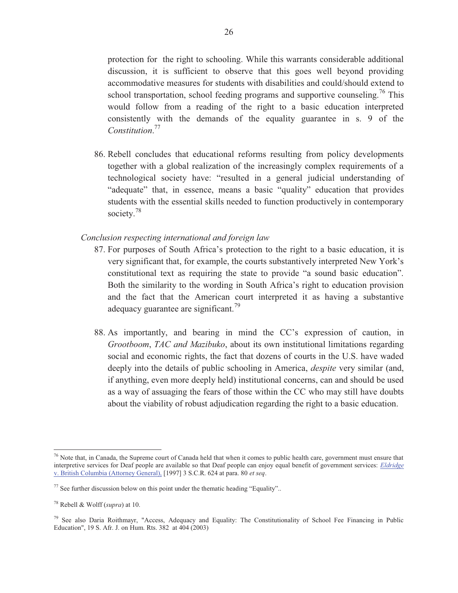protection for the right to schooling. While this warrants considerable additional discussion, it is sufficient to observe that this goes well beyond providing accommodative measures for students with disabilities and could/should extend to school transportation, school feeding programs and supportive counseling.<sup>76</sup> This would follow from a reading of the right to a basic education interpreted consistently with the demands of the equality guarantee in s. 9 of the *Constitution*. 77

86. Rebell concludes that educational reforms resulting from policy developments together with a global realization of the increasingly complex requirements of a technological society have: "resulted in a general judicial understanding of "adequate" that, in essence, means a basic "quality" education that provides students with the essential skills needed to function productively in contemporary society.<sup>78</sup>

# *Conclusion respecting international and foreign law*

- 87. For purposes of South Africa's protection to the right to a basic education, it is very significant that, for example, the courts substantively interpreted New York's constitutional text as requiring the state to provide "a sound basic education". Both the similarity to the wording in South Africa's right to education provision and the fact that the American court interpreted it as having a substantive adequacy guarantee are significant.<sup>79</sup>
- 88. As importantly, and bearing in mind the CC's expression of caution, in *Grootboom*, *TAC and Mazibuko*, about its own institutional limitations regarding social and economic rights, the fact that dozens of courts in the U.S. have waded deeply into the details of public schooling in America, *despite* very similar (and, if anything, even more deeply held) institutional concerns, can and should be used as a way of assuaging the fears of those within the CC who may still have doubts about the viability of robust adjudication regarding the right to a basic education.

 $76$  Note that, in Canada, the Supreme court of Canada held that when it comes to public health care, government must ensure that interpretive services for Deaf people are available so that Deaf people can enjoy equal benefit of government services: *Eldridge* v. British Columbia (Attorney General), [1997] 3 S.C.R. 624 at para. 80 *et seq*.

 $77$  See further discussion below on this point under the thematic heading "Equality"..

<sup>78</sup> Rebell & Wolff (*supra*) at 10.

<sup>79</sup> See also Daria Roithmayr, "Access, Adequacy and Equality: The Constitutionality of School Fee Financing in Public Education", 19 S. Afr. J. on Hum. Rts. 382 at 404 (2003)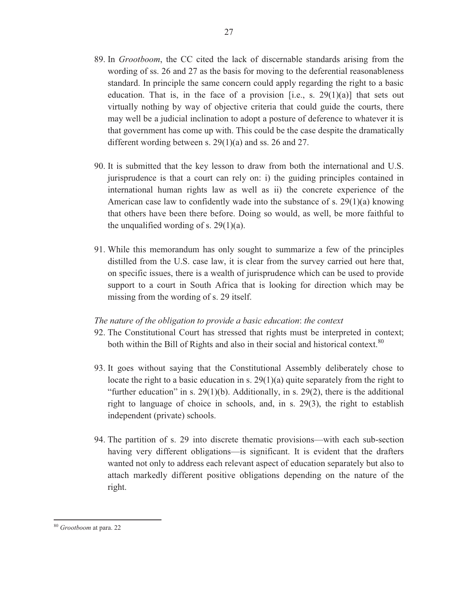- 89. In *Grootboom*, the CC cited the lack of discernable standards arising from the wording of ss. 26 and 27 as the basis for moving to the deferential reasonableness standard. In principle the same concern could apply regarding the right to a basic education. That is, in the face of a provision [i.e., s.  $29(1)(a)$ ] that sets out virtually nothing by way of objective criteria that could guide the courts, there may well be a judicial inclination to adopt a posture of deference to whatever it is that government has come up with. This could be the case despite the dramatically different wording between s. 29(1)(a) and ss. 26 and 27.
- 90. It is submitted that the key lesson to draw from both the international and U.S. jurisprudence is that a court can rely on: i) the guiding principles contained in international human rights law as well as ii) the concrete experience of the American case law to confidently wade into the substance of s. 29(1)(a) knowing that others have been there before. Doing so would, as well, be more faithful to the unqualified wording of s.  $29(1)(a)$ .
- 91. While this memorandum has only sought to summarize a few of the principles distilled from the U.S. case law, it is clear from the survey carried out here that, on specific issues, there is a wealth of jurisprudence which can be used to provide support to a court in South Africa that is looking for direction which may be missing from the wording of s. 29 itself.

# *The nature of the obligation to provide a basic education*: *the context*

- 92. The Constitutional Court has stressed that rights must be interpreted in context; both within the Bill of Rights and also in their social and historical context.<sup>80</sup>
- 93. It goes without saying that the Constitutional Assembly deliberately chose to locate the right to a basic education in s.  $29(1)(a)$  quite separately from the right to "further education" in s. 29(1)(b). Additionally, in s. 29(2), there is the additional right to language of choice in schools, and, in s. 29(3), the right to establish independent (private) schools.
- 94. The partition of s. 29 into discrete thematic provisions—with each sub-section having very different obligations—is significant. It is evident that the drafters wanted not only to address each relevant aspect of education separately but also to attach markedly different positive obligations depending on the nature of the right.

<sup>80</sup> *Grootboom* at para. 22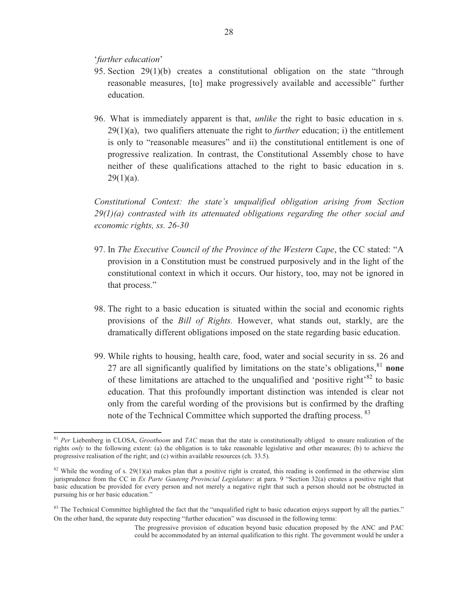'*further education*'

 $\overline{a}$ 

- 95. Section 29(1)(b) creates a constitutional obligation on the state "through reasonable measures, [to] make progressively available and accessible" further education.
- 96. What is immediately apparent is that, *unlike* the right to basic education in s. 29(1)(a), two qualifiers attenuate the right to *further* education; i) the entitlement is only to "reasonable measures" and ii) the constitutional entitlement is one of progressive realization. In contrast, the Constitutional Assembly chose to have neither of these qualifications attached to the right to basic education in s.  $29(1)(a)$ .

*Constitutional Context: the state's unqualified obligation arising from Section 29(1)(a) contrasted with its attenuated obligations regarding the other social and economic rights, ss. 26-30* 

- 97. In *The Executive Council of the Province of the Western Cape*, the CC stated: "A provision in a Constitution must be construed purposively and in the light of the constitutional context in which it occurs. Our history, too, may not be ignored in that process."
- 98. The right to a basic education is situated within the social and economic rights provisions of the *Bill of Rights.* However, what stands out, starkly, are the dramatically different obligations imposed on the state regarding basic education.
- 99. While rights to housing, health care, food, water and social security in ss. 26 and 27 are all significantly qualified by limitations on the state's obligations,<sup>81</sup> **none** of these limitations are attached to the unqualified and 'positive right'<sup>82</sup> to basic education. That this profoundly important distinction was intended is clear not only from the careful wording of the provisions but is confirmed by the drafting note of the Technical Committee which supported the drafting process.<sup>83</sup>

<sup>81</sup> *Per* Liebenberg in CLOSA, *Grootboom* and *TAC* mean that the state is constitutionally obliged to ensure realization of the rights *only* to the following extent: (a) the obligation is to take reasonable legislative and other measures; (b) to achieve the progressive realisation of the right; and (c) within available resources (ch. 33.5).

<sup>&</sup>lt;sup>82</sup> While the wording of s. 29(1)(a) makes plan that a positive right is created, this reading is confirmed in the otherwise slim jurisprudence from the CC in *Ex Parte Gauteng Provincial Legislature*: at para. 9 "Section 32(a) creates a positive right that basic education be provided for every person and not merely a negative right that such a person should not be obstructed in pursuing his or her basic education."

<sup>&</sup>lt;sup>83</sup> The Technical Committee highlighted the fact that the "unqualified right to basic education enjoys support by all the parties." On the other hand, the separate duty respecting "further education" was discussed in the following terms:

The progressive provision of education beyond basic education proposed by the ANC and PAC could be accommodated by an internal qualification to this right. The government would be under a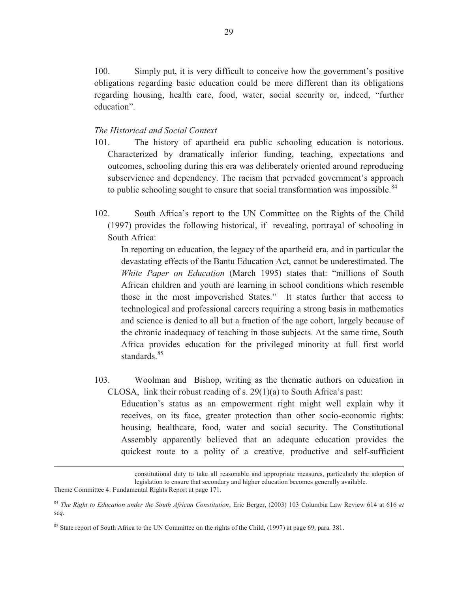100. Simply put, it is very difficult to conceive how the government's positive obligations regarding basic education could be more different than its obligations regarding housing, health care, food, water, social security or, indeed, "further education".

# *The Historical and Social Context*

- 101. The history of apartheid era public schooling education is notorious. Characterized by dramatically inferior funding, teaching, expectations and outcomes, schooling during this era was deliberately oriented around reproducing subservience and dependency. The racism that pervaded government's approach to public schooling sought to ensure that social transformation was impossible. $84$
- 102. South Africa's report to the UN Committee on the Rights of the Child (1997) provides the following historical, if revealing, portrayal of schooling in South Africa:

In reporting on education, the legacy of the apartheid era, and in particular the devastating effects of the Bantu Education Act, cannot be underestimated. The *White Paper on Education* (March 1995) states that: "millions of South African children and youth are learning in school conditions which resemble those in the most impoverished States." It states further that access to technological and professional careers requiring a strong basis in mathematics and science is denied to all but a fraction of the age cohort, largely because of the chronic inadequacy of teaching in those subjects. At the same time, South Africa provides education for the privileged minority at full first world standards.<sup>85</sup>

103. Woolman and Bishop, writing as the thematic authors on education in CLOSA, link their robust reading of s. 29(1)(a) to South Africa's past:

Education's status as an empowerment right might well explain why it receives, on its face, greater protection than other socio-economic rights: housing, healthcare, food, water and social security. The Constitutional Assembly apparently believed that an adequate education provides the quickest route to a polity of a creative, productive and self-sufficient

constitutional duty to take all reasonable and appropriate measures, particularly the adoption of legislation to ensure that secondary and higher education becomes generally available.

Theme Committee 4: Fundamental Rights Report at page 171.

<sup>84</sup> *The Right to Education under the South African Constitution*, Eric Berger, (2003) 103 Columbia Law Review 614 at 616 *et seq*.

<sup>&</sup>lt;sup>85</sup> State report of South Africa to the UN Committee on the rights of the Child, (1997) at page 69, para. 381.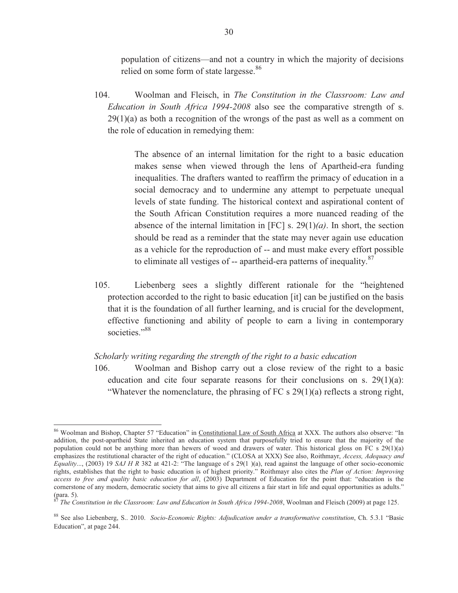population of citizens—and not a country in which the majority of decisions relied on some form of state largesse.<sup>86</sup>

104. Woolman and Fleisch, in *The Constitution in the Classroom: Law and Education in South Africa 1994-2008* also see the comparative strength of s.  $29(1)(a)$  as both a recognition of the wrongs of the past as well as a comment on the role of education in remedying them:

> The absence of an internal limitation for the right to a basic education makes sense when viewed through the lens of Apartheid-era funding inequalities. The drafters wanted to reaffirm the primacy of education in a social democracy and to undermine any attempt to perpetuate unequal levels of state funding. The historical context and aspirational content of the South African Constitution requires a more nuanced reading of the absence of the internal limitation in [FC] s. 29(1)*(a)*. In short, the section should be read as a reminder that the state may never again use education as a vehicle for the reproduction of -- and must make every effort possible to eliminate all vestiges of  $-$  apartheid-era patterns of inequality. $87$

105. Liebenberg sees a slightly different rationale for the "heightened protection accorded to the right to basic education [it] can be justified on the basis that it is the foundation of all further learning, and is crucial for the development, effective functioning and ability of people to earn a living in contemporary societies."<sup>88</sup>

#### *Scholarly writing regarding the strength of the right to a basic education*

106. Woolman and Bishop carry out a close review of the right to a basic education and cite four separate reasons for their conclusions on s.  $29(1)(a)$ : "Whatever the nomenclature, the phrasing of FC s  $29(1)(a)$  reflects a strong right,

<sup>86</sup> Woolman and Bishop, Chapter 57 "Education" in Constitutional Law of South Africa at XXX. The authors also observe: "In addition, the post-apartheid State inherited an education system that purposefully tried to ensure that the majority of the population could not be anything more than hewers of wood and drawers of water. This historical gloss on FC s 29(1)(a) emphasizes the restitutional character of the right of education." (CLOSA at XXX) See also, Roithmayr, *Access, Adequacy and Equality*..., (2003) 19 *SAJ H R* 382 at 421-2: "The language of s 29(1 )(a), read against the language of other socio-economic rights, establishes that the right to basic education is of highest priority." Roithmayr also cites the *Plan of Action: Improving access to free and quality basic education for all*, (2003) Department of Education for the point that: "education is the cornerstone of any modern, democratic society that aims to give all citizens a fair start in life and equal opportunities as adults." (para. 5).

<sup>87</sup> *The Constitution in the Classroom: Law and Education in South Africa 1994-2008*, Woolman and Fleisch (2009) at page 125.

<sup>88</sup> See also Liebenberg, S.. 2010. *Socio-Economic Rights: Adjudication under a transformative constitution*, Ch. 5.3.1 "Basic Education", at page 244.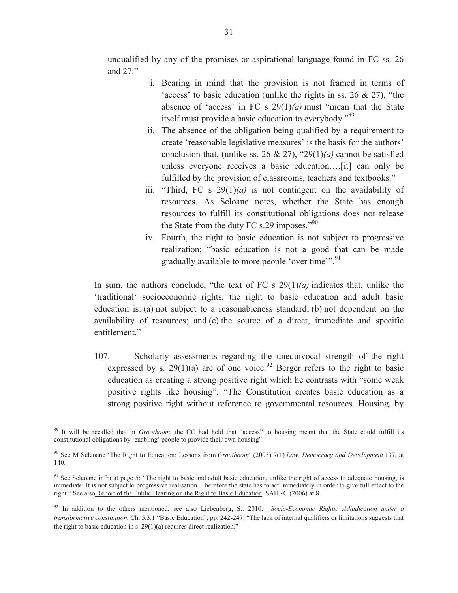unqualified by any of the promises or aspirational language found in FC ss. 26 and 27."

- i. Bearing in mind that the provision is not framed in terms of 'access' to basic education (unlike the rights in ss. 26 & 27), "the absence of 'access' in FC s  $29(1)(a)$  must "mean that the State" itself must provide a basic education to everybody."<sup>89</sup>
- ii. The absence of the obligation being qualified by a requirement to create 'reasonable legislative measures' is the basis for the authors' conclusion that, (unlike ss. 26 & 27), "29(1)(*a*) cannot be satisfied unless everyone receives a basic education….[it] can only be fulfilled by the provision of classrooms, teachers and textbooks."
- iii. "Third, FC s 29(1)*(a)* is not contingent on the availability of resources. As Seloane notes, whether the State has enough resources to fulfill its constitutional obligations does not release the State from the duty FC s.29 imposes."<sup>90</sup>
- iv. Fourth, the right to basic education is not subject to progressive realization; "basic education is not a good that can be made gradually available to more people 'over time'".<sup>91</sup>

In sum, the authors conclude, "the text of FC s 29(1)*(a)* indicates that, unlike the 'traditional' socioeconomic rights, the right to basic education and adult basic education is: (a) not subject to a reasonableness standard; (b) not dependent on the availability of resources; and (c) the source of a direct, immediate and specific entitlement."

107. Scholarly assessments regarding the unequivocal strength of the right expressed by s. 29(1)(a) are of one voice.<sup>92</sup> Berger refers to the right to basic education as creating a strong positive right which he contrasts with "some weak positive rights like housing": "The Constitution creates basic education as a strong positive right without reference to governmental resources. Housing, by

<sup>&</sup>lt;sup>89</sup> It will be recalled that in *Grootboom*, the CC had held that "access" to housing meant that the State could fulfill its constitutional obligations by 'enabling' people to provide their own housing"

<sup>90</sup> See M Seleoane 'The Right to Education: Lessons from *Grootboom*' (2003) 7(1) *Law, Democracy and Development* 137, at 140.

<sup>&</sup>lt;sup>91</sup> See Seleoane infra at page 5: "The right to basic and adult basic education, unlike the right of access to adequate housing, is immediate. It is not subject to progressive realisation. Therefore the state has to act immediately in order to give full effect to the right." See also Report of the Public Hearing on the Right to Basic Education, SAHRC (2006) at 8.

<sup>92</sup> In addition to the others mentioned, see also Liebenberg, S.. 2010. *Socio-Economic Rights: Adjudication under a transformative constitution*, Ch. 5.3.1 "Basic Education", pp. 242-247: "The lack of internal qualifiers or limitations suggests that the right to basic education in s.  $29(1)(a)$  requires direct realization."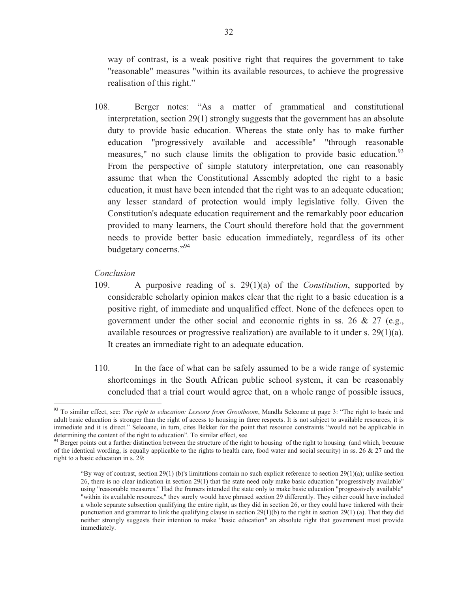way of contrast, is a weak positive right that requires the government to take "reasonable" measures "within its available resources, to achieve the progressive realisation of this right."

108. Berger notes: "As a matter of grammatical and constitutional interpretation, section 29(1) strongly suggests that the government has an absolute duty to provide basic education. Whereas the state only has to make further education "progressively available and accessible" "through reasonable measures," no such clause limits the obligation to provide basic education. $93$ From the perspective of simple statutory interpretation, one can reasonably assume that when the Constitutional Assembly adopted the right to a basic education, it must have been intended that the right was to an adequate education; any lesser standard of protection would imply legislative folly. Given the Constitution's adequate education requirement and the remarkably poor education provided to many learners, the Court should therefore hold that the government needs to provide better basic education immediately, regardless of its other budgetary concerns."<sup>94</sup>

# *Conclusion*

- 109. A purposive reading of s. 29(1)(a) of the *Constitution*, supported by considerable scholarly opinion makes clear that the right to a basic education is a positive right, of immediate and unqualified effect. None of the defences open to government under the other social and economic rights in ss. 26 & 27 (e.g., available resources or progressive realization) are available to it under s. 29(1)(a). It creates an immediate right to an adequate education.
- 110. In the face of what can be safely assumed to be a wide range of systemic shortcomings in the South African public school system, it can be reasonably concluded that a trial court would agree that, on a whole range of possible issues,

<sup>&</sup>lt;sup>93</sup> To similar effect, see: *The right to education: Lessons from Grootboom*, Mandla Seleoane at page 3: "The right to basic and adult basic education is stronger than the right of access to housing in three respects. It is not subject to available resources, it is immediate and it is direct." Seleoane, in turn, cites Bekker for the point that resource constraints "would not be applicable in determining the content of the right to education". To similar effect, see

 $\frac{94}{94}$  Berger points out a further distinction between the structure of the right to housing of the right to housing (and which, because of the identical wording, is equally applicable to the rights to health care, food water and social security) in ss. 26  $\&$  27 and the right to a basic education in s. 29:

<sup>&</sup>quot;By way of contrast, section 29(1) (b)'s limitations contain no such explicit reference to section 29(1)(a); unlike section 26, there is no clear indication in section 29(1) that the state need only make basic education "progressively available" using "reasonable measures." Had the framers intended the state only to make basic education "progressively available" "within its available resources," they surely would have phrased section 29 differently. They either could have included a whole separate subsection qualifying the entire right, as they did in section 26, or they could have tinkered with their punctuation and grammar to link the qualifying clause in section  $29(1)(b)$  to the right in section  $29(1)(a)$ . That they did neither strongly suggests their intention to make "basic education" an absolute right that government must provide immediately.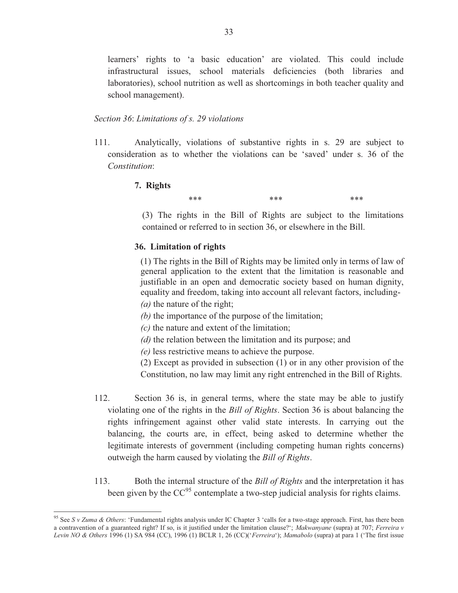learners' rights to 'a basic education' are violated. This could include infrastructural issues, school materials deficiencies (both libraries and laboratories), school nutrition as well as shortcomings in both teacher quality and school management).

#### *Section 36*: *Limitations of s. 29 violations*

111. Analytically, violations of substantive rights in s. 29 are subject to consideration as to whether the violations can be 'saved' under s. 36 of the *Constitution*:

# **7. Rights**

 $\overline{a}$ 

\*\*\*  $***$  \*\*\*  $***$ 

(3) The rights in the Bill of Rights are subject to the limitations contained or referred to in section 36, or elsewhere in the Bill.

# **36. Limitation of rights**

(1) The rights in the Bill of Rights may be limited only in terms of law of general application to the extent that the limitation is reasonable and justifiable in an open and democratic society based on human dignity, equality and freedom, taking into account all relevant factors, including-

- *(a)* the nature of the right;
- *(b)* the importance of the purpose of the limitation;
- *(c)* the nature and extent of the limitation;
- *(d)* the relation between the limitation and its purpose; and
- *(e)* less restrictive means to achieve the purpose.

(2) Except as provided in subsection (1) or in any other provision of the Constitution, no law may limit any right entrenched in the Bill of Rights.

- 112. Section 36 is, in general terms, where the state may be able to justify violating one of the rights in the *Bill of Rights*. Section 36 is about balancing the rights infringement against other valid state interests. In carrying out the balancing, the courts are, in effect, being asked to determine whether the legitimate interests of government (including competing human rights concerns) outweigh the harm caused by violating the *Bill of Rights*.
- 113. Both the internal structure of the *Bill of Rights* and the interpretation it has been given by the  $CC^{95}$  contemplate a two-step judicial analysis for rights claims.

<sup>95</sup> See *S v Zuma & Others*: 'Fundamental rights analysis under IC Chapter 3 'calls for a two-stage approach. First, has there been a contravention of a guaranteed right? If so, is it justified under the limitation clause?'; *Makwanyane* (supra) at 707; *Ferreira v Levin NO & Others* 1996 (1) SA 984 (CC), 1996 (1) BCLR 1, 26 (CC)('*Ferreira*'); *Mamabolo* (supra) at para 1 ('The first issue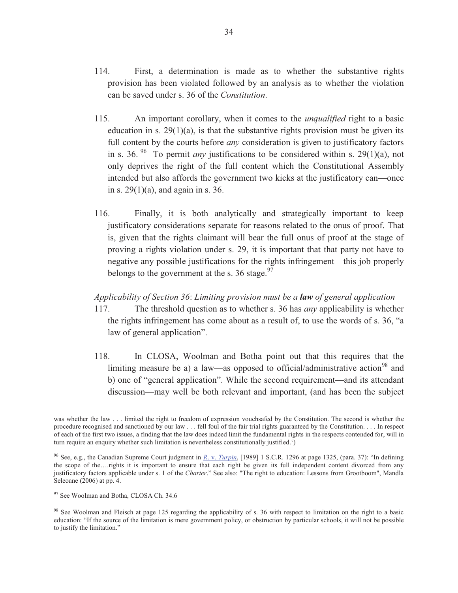- 114. First, a determination is made as to whether the substantive rights provision has been violated followed by an analysis as to whether the violation can be saved under s. 36 of the *Constitution*.
- 115. An important corollary, when it comes to the *unqualified* right to a basic education in s.  $29(1)(a)$ , is that the substantive rights provision must be given its full content by the courts before *any* consideration is given to justificatory factors in s. 36.<sup>96</sup> To permit *any* justifications to be considered within s. 29(1)(a), not only deprives the right of the full content which the Constitutional Assembly intended but also affords the government two kicks at the justificatory can—once in s.  $29(1)(a)$ , and again in s. 36.
- 116. Finally, it is both analytically and strategically important to keep justificatory considerations separate for reasons related to the onus of proof. That is, given that the rights claimant will bear the full onus of proof at the stage of proving a rights violation under s. 29, it is important that that party not have to negative any possible justifications for the rights infringement—this job properly belongs to the government at the s. 36 stage.  $97$

# *Applicability of Section 36*: *Limiting provision must be a law of general application*

- 117. The threshold question as to whether s. 36 has *any* applicability is whether the rights infringement has come about as a result of, to use the words of s. 36, "a law of general application".
- 118. In CLOSA, Woolman and Botha point out that this requires that the limiting measure be a) a law—as opposed to official/administrative action<sup>98</sup> and b) one of "general application". While the second requirement—and its attendant discussion—may well be both relevant and important, (and has been the subject

was whether the law . . . limited the right to freedom of expression vouchsafed by the Constitution. The second is whether the procedure recognised and sanctioned by our law . . . fell foul of the fair trial rights guaranteed by the Constitution. . . . In respect of each of the first two issues, a finding that the law does indeed limit the fundamental rights in the respects contended for, will in turn require an enquiry whether such limitation is nevertheless constitutionally justified.')

<sup>96</sup> See, e.g., the Canadian Supreme Court judgment in *R*. v. *Turpin*, [1989] 1 S.C.R. 1296 at page 1325, (para. 37): "In defining the scope of the….rights it is important to ensure that each right be given its full independent content divorced from any justificatory factors applicable under s. 1 of the *Charter*." See also: "The right to education: Lessons from Grootboom", Mandla Seleoane (2006) at pp. 4.

<sup>&</sup>lt;sup>97</sup> See Woolman and Botha, CLOSA Ch. 34.6

<sup>&</sup>lt;sup>98</sup> See Woolman and Fleisch at page 125 regarding the applicability of s. 36 with respect to limitation on the right to a basic education: "If the source of the limitation is mere government policy, or obstruction by particular schools, it will not be possible to justify the limitation."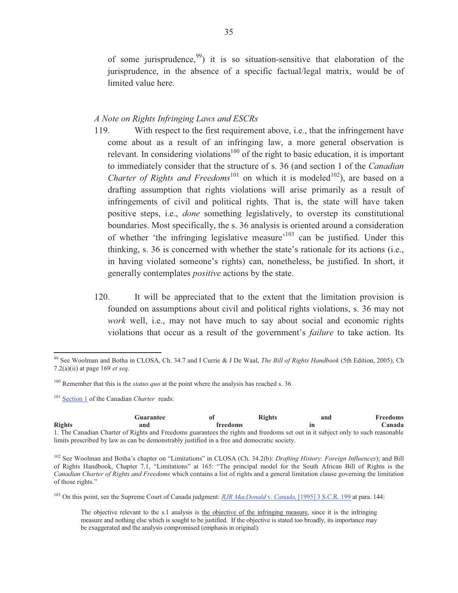of some jurisprudence,  $99$  it is so situation-sensitive that elaboration of the jurisprudence, in the absence of a specific factual/legal matrix, would be of limited value here.

# *A Note on Rights Infringing Laws and ESCRs*

- 119. With respect to the first requirement above, i.e., that the infringement have come about as a result of an infringing law, a more general observation is relevant. In considering violations<sup>100</sup> of the right to basic education, it is important to immediately consider that the structure of s. 36 (and section 1 of the *Canadian Charter of Rights and Freedoms*<sup>101</sup> on which it is modeled<sup>102</sup>), are based on a drafting assumption that rights violations will arise primarily as a result of infringements of civil and political rights. That is, the state will have taken positive steps, i.e., *done* something legislatively, to overstep its constitutional boundaries. Most specifically, the s. 36 analysis is oriented around a consideration of whether 'the infringing legislative measure'<sup>103</sup> can be justified. Under this thinking, s. 36 is concerned with whether the state's rationale for its actions (i.e., in having violated someone's rights) can, nonetheless, be justified. In short, it generally contemplates *positive* actions by the state.
- 120. It will be appreciated that to the extent that the limitation provision is founded on assumptions about civil and political rights violations, s. 36 may not *work* well, i.e., may not have much to say about social and economic rights violations that occur as a result of the government's *failure* to take action. Its

<sup>101</sup> Section 1 of the Canadian *Charter* reads:

 $\overline{a}$ 

|               | Guarantee                                                                                                                       | оf              | <b>Rights</b> | and | <b>Freedoms</b> |
|---------------|---------------------------------------------------------------------------------------------------------------------------------|-----------------|---------------|-----|-----------------|
| <b>Rights</b> | and                                                                                                                             | <b>freedoms</b> |               |     | Canada          |
|               | 1. The Canadian Charter of Rights and Freedoms guarantees the rights and freedoms set out in it subject only to such reasonable |                 |               |     |                 |
|               | limits prescribed by law as can be demonstrably justified in a free and democratic society.                                     |                 |               |     |                 |

<sup>102</sup> See Woolman and Botha's chapter on "Limitations" in CLOSA (Ch. 34.2(b): *Drafting History*: *Foreign Influences*); and Bill of Rights Handbook, Chapter 7.1, "Limitations" at 165: "The principal model for the South African Bill of Rights is the *Canadian Charter of Rights and Freedoms* which contains a list of rights and a general limitation clause governing the limitation of those rights."

<sup>103</sup> On this point, see the Supreme Court of Canada judgment: *RJR MacDonald* v. *Canada*, [1995] 3 S.C.R. 199 at para. 144:

 The objective relevant to the s.1 analysis is the objective of the infringing measure, since it is the infringing measure and nothing else which is sought to be justified. If the objective is stated too broadly, its importance may be exaggerated and the analysis compromised (emphasis in original).

<sup>99</sup> See Woolman and Botha in CLOSA, Ch. 34.7 and I Currie & J De Waal, *The Bill of Rights Handbook* (5th Edition, 2005), Ch 7.2(a)(ii) at page 169 *et seq*.

<sup>100</sup> Remember that this is the *status quo* at the point where the analysis has reached s. 36.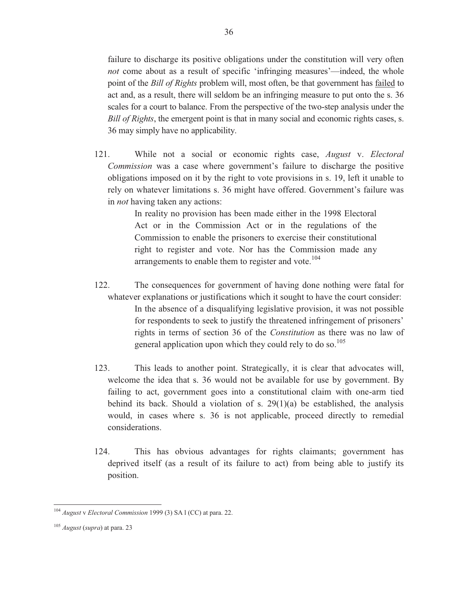failure to discharge its positive obligations under the constitution will very often *not* come about as a result of specific 'infringing measures'—indeed, the whole point of the *Bill of Rights* problem will, most often, be that government has failed to act and, as a result, there will seldom be an infringing measure to put onto the s. 36 scales for a court to balance. From the perspective of the two-step analysis under the *Bill of Rights*, the emergent point is that in many social and economic rights cases, s. 36 may simply have no applicability.

121. While not a social or economic rights case, *August* v. *Electoral Commission* was a case where government's failure to discharge the positive obligations imposed on it by the right to vote provisions in s. 19, left it unable to rely on whatever limitations s. 36 might have offered. Government's failure was in *not* having taken any actions:

> In reality no provision has been made either in the 1998 Electoral Act or in the Commission Act or in the regulations of the Commission to enable the prisoners to exercise their constitutional right to register and vote. Nor has the Commission made any arrangements to enable them to register and vote. $104$

- 122. The consequences for government of having done nothing were fatal for whatever explanations or justifications which it sought to have the court consider: In the absence of a disqualifying legislative provision, it was not possible for respondents to seek to justify the threatened infringement of prisoners' rights in terms of section 36 of the *Constitution* as there was no law of general application upon which they could rely to do so.<sup>105</sup>
- 123. This leads to another point. Strategically, it is clear that advocates will, welcome the idea that s. 36 would not be available for use by government. By failing to act, government goes into a constitutional claim with one-arm tied behind its back. Should a violation of s.  $29(1)(a)$  be established, the analysis would, in cases where s. 36 is not applicable, proceed directly to remedial considerations.
- 124. This has obvious advantages for rights claimants; government has deprived itself (as a result of its failure to act) from being able to justify its position.

<sup>104</sup> *August* v *Electoral Commission* 1999 (3) SA l (CC) at para. 22.

<sup>105</sup> *August* (*supra*) at para. 23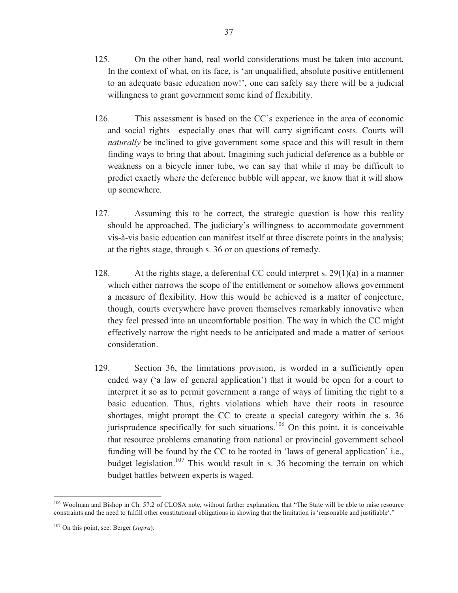- 125. On the other hand, real world considerations must be taken into account. In the context of what, on its face, is 'an unqualified, absolute positive entitlement to an adequate basic education now!', one can safely say there will be a judicial willingness to grant government some kind of flexibility.
- 126. This assessment is based on the CC's experience in the area of economic and social rights—especially ones that will carry significant costs. Courts will *naturally* be inclined to give government some space and this will result in them finding ways to bring that about. Imagining such judicial deference as a bubble or weakness on a bicycle inner tube, we can say that while it may be difficult to predict exactly where the deference bubble will appear, we know that it will show up somewhere.
- 127. Assuming this to be correct, the strategic question is how this reality should be approached. The judiciary's willingness to accommodate government vis-à-vis basic education can manifest itself at three discrete points in the analysis; at the rights stage, through s. 36 or on questions of remedy.
- 128. At the rights stage, a deferential CC could interpret s.  $29(1)(a)$  in a manner which either narrows the scope of the entitlement or somehow allows government a measure of flexibility. How this would be achieved is a matter of conjecture, though, courts everywhere have proven themselves remarkably innovative when they feel pressed into an uncomfortable position. The way in which the CC might effectively narrow the right needs to be anticipated and made a matter of serious consideration.
- 129. Section 36, the limitations provision, is worded in a sufficiently open ended way ('a law of general application') that it would be open for a court to interpret it so as to permit government a range of ways of limiting the right to a basic education. Thus, rights violations which have their roots in resource shortages, might prompt the CC to create a special category within the s. 36 jurisprudence specifically for such situations.<sup>106</sup> On this point, it is conceivable that resource problems emanating from national or provincial government school funding will be found by the CC to be rooted in 'laws of general application' i.e., budget legislation.<sup>107</sup> This would result in s. 36 becoming the terrain on which budget battles between experts is waged.

<sup>&</sup>lt;sup>106</sup> Woolman and Bishop in Ch. 57.2 of CLOSA note, without further explanation, that "The State will be able to raise resource constraints and the need to fulfill other constitutional obligations in showing that the limitation is 'reasonable and justifiable'."

<sup>107</sup> On this point, see: Berger (*supra*):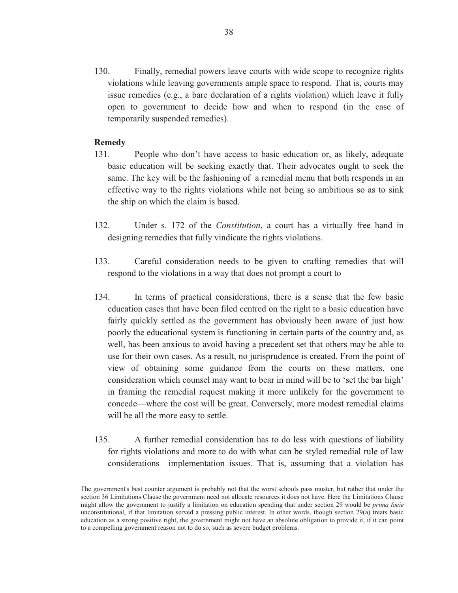130. Finally, remedial powers leave courts with wide scope to recognize rights violations while leaving governments ample space to respond. That is, courts may issue remedies (e.g., a bare declaration of a rights violation) which leave it fully open to government to decide how and when to respond (in the case of temporarily suspended remedies).

# **Remedy**

- 131. People who don't have access to basic education or, as likely, adequate basic education will be seeking exactly that. Their advocates ought to seek the same. The key will be the fashioning of a remedial menu that both responds in an effective way to the rights violations while not being so ambitious so as to sink the ship on which the claim is based.
- 132. Under s. 172 of the *Constitution*, a court has a virtually free hand in designing remedies that fully vindicate the rights violations.
- 133. Careful consideration needs to be given to crafting remedies that will respond to the violations in a way that does not prompt a court to
- 134. In terms of practical considerations, there is a sense that the few basic education cases that have been filed centred on the right to a basic education have fairly quickly settled as the government has obviously been aware of just how poorly the educational system is functioning in certain parts of the country and, as well, has been anxious to avoid having a precedent set that others may be able to use for their own cases. As a result, no jurisprudence is created. From the point of view of obtaining some guidance from the courts on these matters, one consideration which counsel may want to bear in mind will be to 'set the bar high' in framing the remedial request making it more unlikely for the government to concede—where the cost will be great. Conversely, more modest remedial claims will be all the more easy to settle.
- 135. A further remedial consideration has to do less with questions of liability for rights violations and more to do with what can be styled remedial rule of law considerations—implementation issues. That is, assuming that a violation has

The government's best counter argument is probably not that the worst schools pass muster, but rather that under the section 36 Limitations Clause the government need not allocate resources it does not have. Here the Limitations Clause might allow the government to justify a limitation on education spending that under section 29 would be *prima facie* unconstitutional, if that limitation served a pressing public interest. In other words, though section 29(a) treats basic education as a strong positive right, the government might not have an absolute obligation to provide it, if it can point to a compelling government reason not to do so, such as severe budget problems.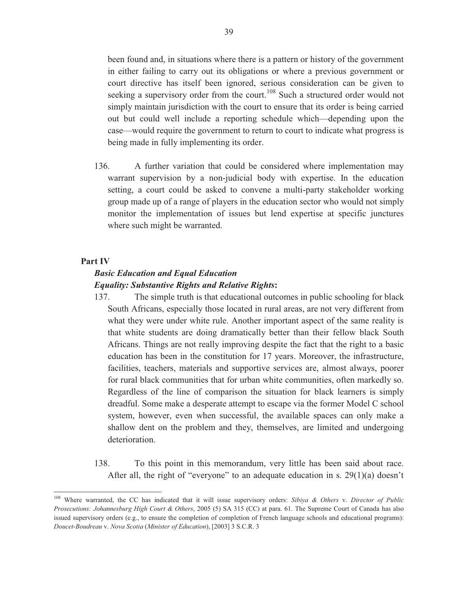been found and, in situations where there is a pattern or history of the government in either failing to carry out its obligations or where a previous government or court directive has itself been ignored, serious consideration can be given to seeking a supervisory order from the court.<sup>108</sup> Such a structured order would not simply maintain jurisdiction with the court to ensure that its order is being carried out but could well include a reporting schedule which—depending upon the case—would require the government to return to court to indicate what progress is being made in fully implementing its order.

136. A further variation that could be considered where implementation may warrant supervision by a non-judicial body with expertise. In the education setting, a court could be asked to convene a multi-party stakeholder working group made up of a range of players in the education sector who would not simply monitor the implementation of issues but lend expertise at specific junctures where such might be warranted.

#### **Part IV**

 $\overline{a}$ 

# *Basic Education and Equal Education Equality: Substantive Rights and Relative Rights***:**

- 137. The simple truth is that educational outcomes in public schooling for black South Africans, especially those located in rural areas, are not very different from what they were under white rule. Another important aspect of the same reality is that white students are doing dramatically better than their fellow black South Africans. Things are not really improving despite the fact that the right to a basic education has been in the constitution for 17 years. Moreover, the infrastructure, facilities, teachers, materials and supportive services are, almost always, poorer for rural black communities that for urban white communities, often markedly so. Regardless of the line of comparison the situation for black learners is simply dreadful. Some make a desperate attempt to escape via the former Model C school system, however, even when successful, the available spaces can only make a shallow dent on the problem and they, themselves, are limited and undergoing deterioration.
- 138. To this point in this memorandum, very little has been said about race. After all, the right of "everyone" to an adequate education in s. 29(1)(a) doesn't

<sup>108</sup> Where warranted, the CC has indicated that it will issue supervisory orders: *Sibiya & Others* v. *Director of Public Prosecutions: Johannesburg High Court & Others*, 2005 (5) SA 315 (CC) at para. 61. The Supreme Court of Canada has also issued supervisory orders (e.g., to ensure the completion of completion of French language schools and educational programs): *Doucet*-*Boudreau* v. *Nova Scotia* (*Minister of Education*), [2003] 3 S.C.R. 3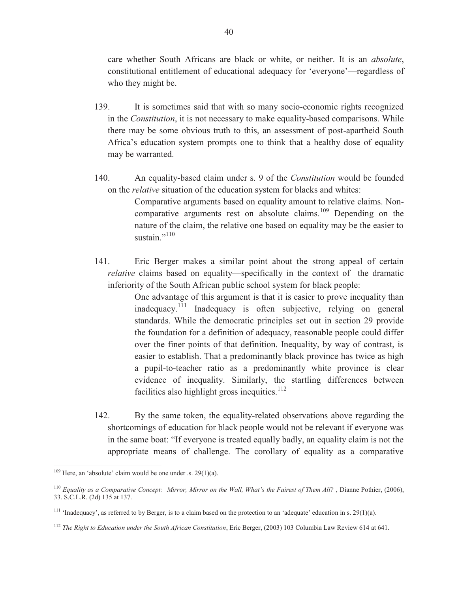care whether South Africans are black or white, or neither. It is an *absolute*, constitutional entitlement of educational adequacy for 'everyone'—regardless of who they might be.

- 139. It is sometimes said that with so many socio-economic rights recognized in the *Constitution*, it is not necessary to make equality-based comparisons. While there may be some obvious truth to this, an assessment of post-apartheid South Africa's education system prompts one to think that a healthy dose of equality may be warranted.
- 140. An equality-based claim under s. 9 of the *Constitution* would be founded on the *relative* situation of the education system for blacks and whites:

Comparative arguments based on equality amount to relative claims. Noncomparative arguments rest on absolute claims.<sup>109</sup> Depending on the nature of the claim, the relative one based on equality may be the easier to sustain." $^{110}$ 

141. Eric Berger makes a similar point about the strong appeal of certain *relative* claims based on equality—specifically in the context of the dramatic inferiority of the South African public school system for black people:

> One advantage of this argument is that it is easier to prove inequality than inadequacy.<sup>111</sup> Inadequacy is often subjective, relying on general standards. While the democratic principles set out in section 29 provide the foundation for a definition of adequacy, reasonable people could differ over the finer points of that definition. Inequality, by way of contrast, is easier to establish. That a predominantly black province has twice as high a pupil-to-teacher ratio as a predominantly white province is clear evidence of inequality. Similarly, the startling differences between facilities also highlight gross inequities.<sup>112</sup>

142. By the same token, the equality-related observations above regarding the shortcomings of education for black people would not be relevant if everyone was in the same boat: "If everyone is treated equally badly, an equality claim is not the appropriate means of challenge. The corollary of equality as a comparative

 $109$  Here, an 'absolute' claim would be one under .s. 29(1)(a).

<sup>110</sup> *Equality as a Comparative Concept: Mirror, Mirror on the Wall, What's the Fairest of Them All?* , Dianne Pothier, (2006), 33. S.C.L.R. (2d) 135 at 137.

<sup>&</sup>lt;sup>111</sup> 'Inadequacy', as referred to by Berger, is to a claim based on the protection to an 'adequate' education in s. 29(1)(a).

<sup>112</sup> *The Right to Education under the South African Constitution*, Eric Berger, (2003) 103 Columbia Law Review 614 at 641.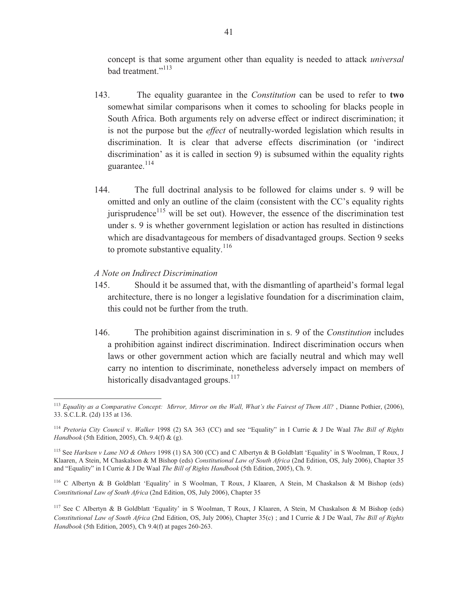concept is that some argument other than equality is needed to attack *universal* bad treatment."<sup>113</sup>

- 143. The equality guarantee in the *Constitution* can be used to refer to **two** somewhat similar comparisons when it comes to schooling for blacks people in South Africa. Both arguments rely on adverse effect or indirect discrimination; it is not the purpose but the *effect* of neutrally-worded legislation which results in discrimination. It is clear that adverse effects discrimination (or 'indirect discrimination' as it is called in section 9) is subsumed within the equality rights guarantee.<sup>114</sup>
- 144. The full doctrinal analysis to be followed for claims under s. 9 will be omitted and only an outline of the claim (consistent with the CC's equality rights jurisprudence $115$  will be set out). However, the essence of the discrimination test under s. 9 is whether government legislation or action has resulted in distinctions which are disadvantageous for members of disadvantaged groups. Section 9 seeks to promote substantive equality.<sup>116</sup>

#### *A Note on Indirect Discrimination*

- 145. Should it be assumed that, with the dismantling of apartheid's formal legal architecture, there is no longer a legislative foundation for a discrimination claim, this could not be further from the truth.
- 146. The prohibition against discrimination in s. 9 of the *Constitution* includes a prohibition against indirect discrimination. Indirect discrimination occurs when laws or other government action which are facially neutral and which may well carry no intention to discriminate, nonetheless adversely impact on members of historically disadvantaged groups.<sup>117</sup>

<sup>113</sup> *Equality as a Comparative Concept: Mirror, Mirror on the Wall, What's the Fairest of Them All?* , Dianne Pothier, (2006), 33. S.C.L.R. (2d) 135 at 136.

<sup>114</sup> *Pretoria City Council* v. *Walker* 1998 (2) SA 363 (CC) and see "Equality" in I Currie & J De Waal *The Bill of Rights Handbook* (5th Edition, 2005), Ch. 9.4(f) & (g).

<sup>115</sup> See *Harksen v Lane NO & Others* 1998 (1) SA 300 (CC) and C Albertyn & B Goldblatt 'Equality' in S Woolman, T Roux, J Klaaren, A Stein, M Chaskalson & M Bishop (eds) *Constitutional Law of South Africa* (2nd Edition, OS, July 2006), Chapter 35 and "Equality" in I Currie & J De Waal *The Bill of Rights Handbook* (5th Edition, 2005), Ch. 9.

<sup>116</sup> C Albertyn & B Goldblatt 'Equality' in S Woolman, T Roux, J Klaaren, A Stein, M Chaskalson & M Bishop (eds) *Constitutional Law of South Africa* (2nd Edition, OS, July 2006), Chapter 35

<sup>&</sup>lt;sup>117</sup> See C Albertyn & B Goldblatt 'Equality' in S Woolman, T Roux, J Klaaren, A Stein, M Chaskalson & M Bishop (eds) *Constitutional Law of South Africa* (2nd Edition, OS, July 2006), Chapter 35(c) ; and I Currie & J De Waal, *The Bill of Rights Handbook* (5th Edition, 2005), Ch 9.4(f) at pages 260-263.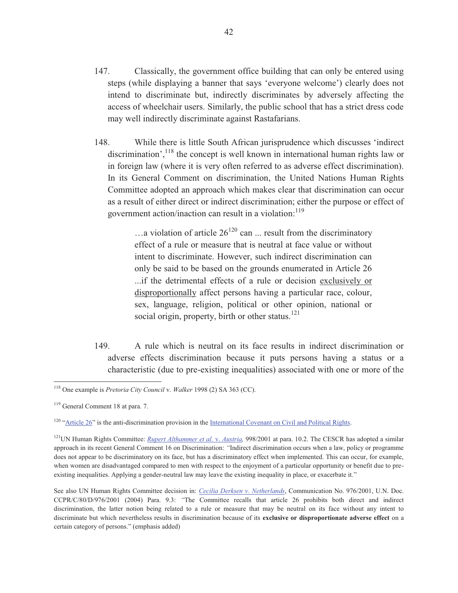- 147. Classically, the government office building that can only be entered using steps (while displaying a banner that says 'everyone welcome') clearly does not intend to discriminate but, indirectly discriminates by adversely affecting the access of wheelchair users. Similarly, the public school that has a strict dress code may well indirectly discriminate against Rastafarians.
- 148. While there is little South African jurisprudence which discusses 'indirect discrimination', $118$  the concept is well known in international human rights law or in foreign law (where it is very often referred to as adverse effect discrimination). In its General Comment on discrimination, the United Nations Human Rights Committee adopted an approach which makes clear that discrimination can occur as a result of either direct or indirect discrimination; either the purpose or effect of government action/inaction can result in a violation:<sup>119</sup>

 $\ldots$  a violation of article 26<sup>120</sup> can  $\ldots$  result from the discriminatory effect of a rule or measure that is neutral at face value or without intent to discriminate. However, such indirect discrimination can only be said to be based on the grounds enumerated in Article 26 ...if the detrimental effects of a rule or decision exclusively or disproportionally affect persons having a particular race, colour, sex, language, religion, political or other opinion, national or social origin, property, birth or other status. $121$ 

149. A rule which is neutral on its face results in indirect discrimination or adverse effects discrimination because it puts persons having a status or a characteristic (due to pre-existing inequalities) associated with one or more of the

<sup>118</sup> One example is *Pretoria City Council* v. *Walker* 1998 (2) SA 363 (CC).

<sup>119</sup> General Comment 18 at para. 7.

 $120$  "Article 26" is the anti-discrimination provision in the International Covenant on Civil and Political Rights.

<sup>&</sup>lt;sup>121</sup>UN Human Rights Committee: *Rupert Althammer et al. v. Austria*, 998/2001 at para. 10.2. The CESCR has adopted a similar approach in its recent General Comment 16 on Discrimination: *"*Indirect discrimination occurs when a law, policy or programme does not appear to be discriminatory on its face, but has a discriminatory effect when implemented. This can occur, for example, when women are disadvantaged compared to men with respect to the enjoyment of a particular opportunity or benefit due to preexisting inequalities. Applying a gender-neutral law may leave the existing inequality in place, or exacerbate it."

See also UN Human Rights Committee decision in: *Cecilia Derksen v. Netherlands*, Communication No. 976/2001, U.N. Doc. CCPR/C/80/D/976/2001 (2004) Para. 9.3: *"*The Committee recalls that article 26 prohibits both direct and indirect discrimination, the latter notion being related to a rule or measure that may be neutral on its face without any intent to discriminate but which nevertheless results in discrimination because of its **exclusive or disproportionate adverse effect** on a certain category of persons." (emphasis added)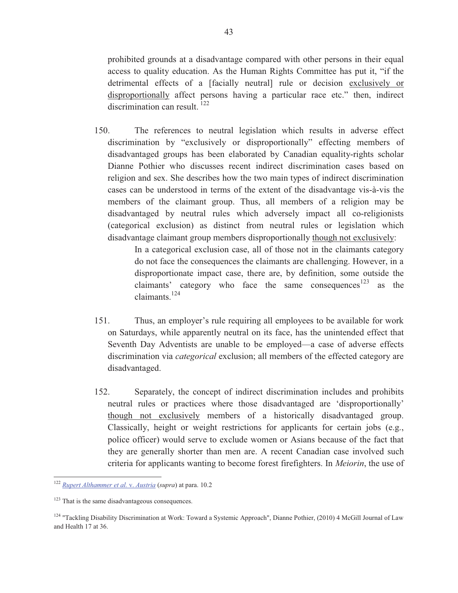prohibited grounds at a disadvantage compared with other persons in their equal access to quality education. As the Human Rights Committee has put it, "if the detrimental effects of a [facially neutral] rule or decision exclusively or disproportionally affect persons having a particular race etc." then, indirect discrimination can result.<sup>122</sup>

150. The references to neutral legislation which results in adverse effect discrimination by "exclusively or disproportionally" effecting members of disadvantaged groups has been elaborated by Canadian equality-rights scholar Dianne Pothier who discusses recent indirect discrimination cases based on religion and sex. She describes how the two main types of indirect discrimination cases can be understood in terms of the extent of the disadvantage vis-à-vis the members of the claimant group. Thus, all members of a religion may be disadvantaged by neutral rules which adversely impact all co-religionists (categorical exclusion) as distinct from neutral rules or legislation which disadvantage claimant group members disproportionally though not exclusively:

> In a categorical exclusion case, all of those not in the claimants category do not face the consequences the claimants are challenging. However, in a disproportionate impact case, there are, by definition, some outside the claimants' category who face the same consequences<sup>123</sup> as the claimants.<sup>124</sup>

- 151. Thus, an employer's rule requiring all employees to be available for work on Saturdays, while apparently neutral on its face, has the unintended effect that Seventh Day Adventists are unable to be employed—a case of adverse effects discrimination via *categorical* exclusion; all members of the effected category are disadvantaged.
- 152. Separately, the concept of indirect discrimination includes and prohibits neutral rules or practices where those disadvantaged are 'disproportionally' though not exclusively members of a historically disadvantaged group. Classically, height or weight restrictions for applicants for certain jobs (e.g., police officer) would serve to exclude women or Asians because of the fact that they are generally shorter than men are. A recent Canadian case involved such criteria for applicants wanting to become forest firefighters. In *Meiorin*, the use of

<sup>122</sup> *Rupert Althammer et al.* v. *Austria* (*supra*) at para. 10.2

<sup>&</sup>lt;sup>123</sup> That is the same disadvantageous consequences.

<sup>&</sup>lt;sup>124</sup> "Tackling Disability Discrimination at Work: Toward a Systemic Approach", Dianne Pothier,  $(2010)$  4 McGill Journal of Law and Health 17 at 36.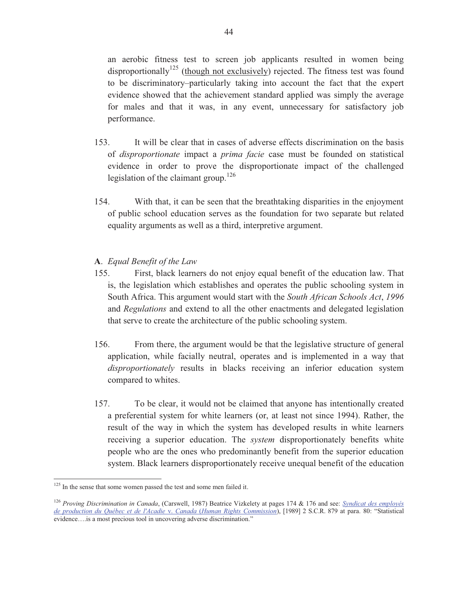an aerobic fitness test to screen job applicants resulted in women being disproportionally<sup>125</sup> (though not exclusively) rejected. The fitness test was found to be discriminatory–particularly taking into account the fact that the expert evidence showed that the achievement standard applied was simply the average for males and that it was, in any event, unnecessary for satisfactory job performance.

- 153. It will be clear that in cases of adverse effects discrimination on the basis of *disproportionate* impact a *prima facie* case must be founded on statistical evidence in order to prove the disproportionate impact of the challenged legislation of the claimant group. $126$
- 154. With that, it can be seen that the breathtaking disparities in the enjoyment of public school education serves as the foundation for two separate but related equality arguments as well as a third, interpretive argument.

# **A**. *Equal Benefit of the Law*

- 155. First, black learners do not enjoy equal benefit of the education law. That is, the legislation which establishes and operates the public schooling system in South Africa. This argument would start with the *South African Schools Act*, *1996* and *Regulations* and extend to all the other enactments and delegated legislation that serve to create the architecture of the public schooling system.
- 156. From there, the argument would be that the legislative structure of general application, while facially neutral, operates and is implemented in a way that *disproportionately* results in blacks receiving an inferior education system compared to whites.
- 157. To be clear, it would not be claimed that anyone has intentionally created a preferential system for white learners (or, at least not since 1994). Rather, the result of the way in which the system has developed results in white learners receiving a superior education. The *system* disproportionately benefits white people who are the ones who predominantly benefit from the superior education system. Black learners disproportionately receive unequal benefit of the education

<sup>&</sup>lt;sup>125</sup> In the sense that some women passed the test and some men failed it.

<sup>126</sup> *Proving Discrimination in Canada*, (Carswell, 1987) Beatrice Vizkelety at pages 174 & 176 and see: *Syndicat des employés de production du Québec et de l'Acadie* v. *Canada* (*Human Rights Commission*), [1989] 2 S.C.R. 879 at para. 80: "Statistical evidence….is a most precious tool in uncovering adverse discrimination."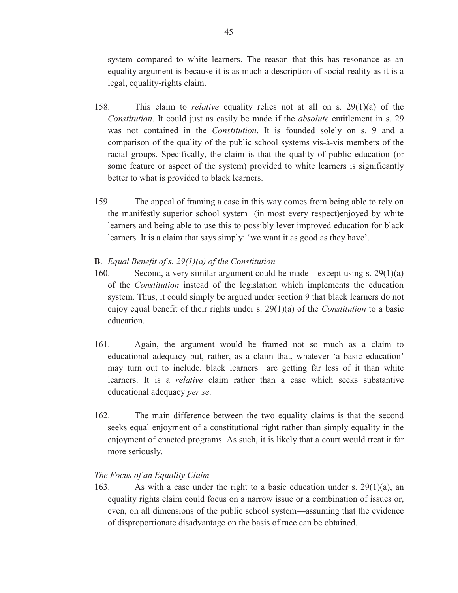system compared to white learners. The reason that this has resonance as an equality argument is because it is as much a description of social reality as it is a legal, equality-rights claim.

- 158. This claim to *relative* equality relies not at all on s. 29(1)(a) of the *Constitution*. It could just as easily be made if the *absolute* entitlement in s. 29 was not contained in the *Constitution*. It is founded solely on s. 9 and a comparison of the quality of the public school systems vis-à-vis members of the racial groups. Specifically, the claim is that the quality of public education (or some feature or aspect of the system) provided to white learners is significantly better to what is provided to black learners.
- 159. The appeal of framing a case in this way comes from being able to rely on the manifestly superior school system (in most every respect)enjoyed by white learners and being able to use this to possibly lever improved education for black learners. It is a claim that says simply: 'we want it as good as they have'.

#### **B**. *Equal Benefit of s. 29(1)(a) of the Constitution*

- 160. Second, a very similar argument could be made—except using s. 29(1)(a) of the *Constitution* instead of the legislation which implements the education system. Thus, it could simply be argued under section 9 that black learners do not enjoy equal benefit of their rights under s. 29(1)(a) of the *Constitution* to a basic education.
- 161. Again, the argument would be framed not so much as a claim to educational adequacy but, rather, as a claim that, whatever 'a basic education' may turn out to include, black learners are getting far less of it than white learners. It is a *relative* claim rather than a case which seeks substantive educational adequacy *per se*.
- 162. The main difference between the two equality claims is that the second seeks equal enjoyment of a constitutional right rather than simply equality in the enjoyment of enacted programs. As such, it is likely that a court would treat it far more seriously.

#### *The Focus of an Equality Claim*

163. As with a case under the right to a basic education under s. 29(1)(a), an equality rights claim could focus on a narrow issue or a combination of issues or, even, on all dimensions of the public school system—assuming that the evidence of disproportionate disadvantage on the basis of race can be obtained.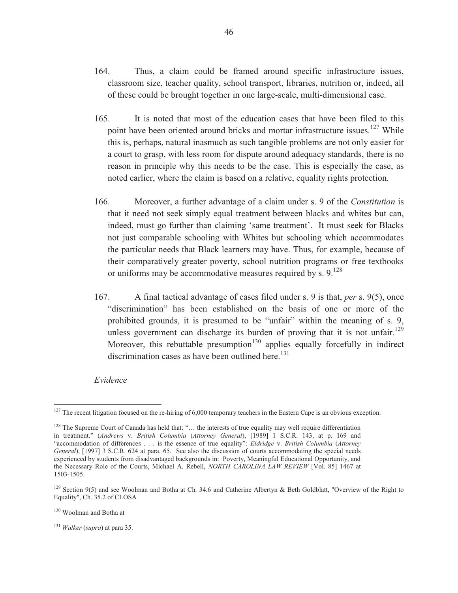- 164. Thus, a claim could be framed around specific infrastructure issues, classroom size, teacher quality, school transport, libraries, nutrition or, indeed, all of these could be brought together in one large-scale, multi-dimensional case.
- 165. It is noted that most of the education cases that have been filed to this point have been oriented around bricks and mortar infrastructure issues.<sup>127</sup> While this is, perhaps, natural inasmuch as such tangible problems are not only easier for a court to grasp, with less room for dispute around adequacy standards, there is no reason in principle why this needs to be the case. This is especially the case, as noted earlier, where the claim is based on a relative, equality rights protection.
- 166. Moreover, a further advantage of a claim under s. 9 of the *Constitution* is that it need not seek simply equal treatment between blacks and whites but can, indeed, must go further than claiming 'same treatment'. It must seek for Blacks not just comparable schooling with Whites but schooling which accommodates the particular needs that Black learners may have. Thus, for example, because of their comparatively greater poverty, school nutrition programs or free textbooks or uniforms may be accommodative measures required by s.  $9.128$
- 167. A final tactical advantage of cases filed under s. 9 is that, *per* s. 9(5), once "discrimination" has been established on the basis of one or more of the prohibited grounds, it is presumed to be "unfair" within the meaning of s. 9, unless government can discharge its burden of proving that it is not unfair.<sup>129</sup> Moreover, this rebuttable presumption<sup>130</sup> applies equally forcefully in indirect discrimination cases as have been outlined here.<sup>131</sup>

#### *Evidence*

 $\overline{a}$ 

<sup>131</sup> *Walker* (*supra*) at para 35.

<sup>&</sup>lt;sup>127</sup> The recent litigation focused on the re-hiring of 6,000 temporary teachers in the Eastern Cape is an obvious exception.

 $128$  The Supreme Court of Canada has held that: "... the interests of true equality may well require differentiation in treatment." (*Andrews* v. *British Columbia* (*Attorney General*), [1989] 1 S.C.R. 143, at p. 169 and "accommodation of differences . . . is the essence of true equality": *Eldridge* v. *British Columbia* (*Attorney General*), [1997] 3 S.C.R. 624 at para. 65. See also the discussion of courts accommodating the special needs experienced by students from disadvantaged backgrounds in: Poverty, Meaningful Educational Opportunity, and the Necessary Role of the Courts, Michael A. Rebell, *NORTH CAROLINA LAW REVIEW* [Vol. 85] 1467 at 1503-1505.

<sup>&</sup>lt;sup>129</sup> Section 9(5) and see Woolman and Botha at Ch. 34.6 and Catherine Albertyn & Beth Goldblatt, "Overview of the Right to Equality", Ch. 35.2 of CLOSA

<sup>130</sup> Woolman and Botha at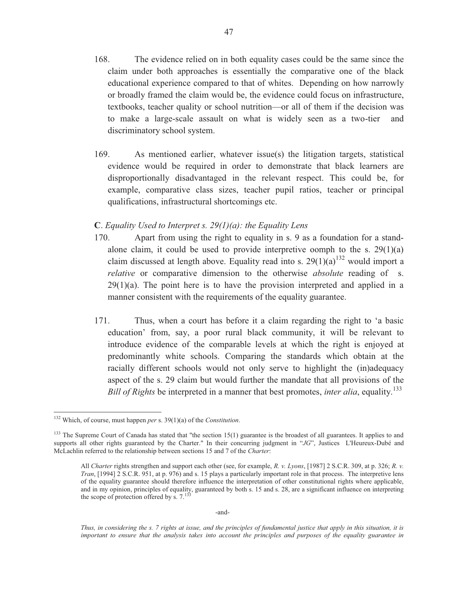- 168. The evidence relied on in both equality cases could be the same since the claim under both approaches is essentially the comparative one of the black educational experience compared to that of whites. Depending on how narrowly or broadly framed the claim would be, the evidence could focus on infrastructure, textbooks, teacher quality or school nutrition—or all of them if the decision was to make a large-scale assault on what is widely seen as a two-tier and discriminatory school system.
- 169. As mentioned earlier, whatever issue(s) the litigation targets, statistical evidence would be required in order to demonstrate that black learners are disproportionally disadvantaged in the relevant respect. This could be, for example, comparative class sizes, teacher pupil ratios, teacher or principal qualifications, infrastructural shortcomings etc.

#### **C**. *Equality Used to Interpret s. 29(1)(a): the Equality Lens*

- 170. Apart from using the right to equality in s. 9 as a foundation for a standalone claim, it could be used to provide interpretive oomph to the s.  $29(1)(a)$ claim discussed at length above. Equality read into s.  $29(1)(a)^{132}$  would import a *relative* or comparative dimension to the otherwise *absolute* reading of s.  $29(1)(a)$ . The point here is to have the provision interpreted and applied in a manner consistent with the requirements of the equality guarantee.
- 171. Thus, when a court has before it a claim regarding the right to 'a basic education' from, say, a poor rural black community, it will be relevant to introduce evidence of the comparable levels at which the right is enjoyed at predominantly white schools. Comparing the standards which obtain at the racially different schools would not only serve to highlight the (in)adequacy aspect of the s. 29 claim but would further the mandate that all provisions of the *Bill of Rights* be interpreted in a manner that best promotes, *inter alia*, equality.<sup>133</sup>

 $\overline{a}$ 

47

-and-

*Thus, in considering the s. 7 rights at issue, and the principles of fundamental justice that apply in this situation, it is important to ensure that the analysis takes into account the principles and purposes of the equality guarantee in* 

<sup>132</sup> Which, of course, must happen *per* s. 39(1)(a) of the *Constitution*.

 $133$  The Supreme Court of Canada has stated that "the section  $15(1)$  guarantee is the broadest of all guarantees. It applies to and supports all other rights guaranteed by the Charter." In their concurring judgment in "*JG*", Justices L'Heureux-Dubé and McLachlin referred to the relationship between sections 15 and 7 of the *Charter*:

All *Charter* rights strengthen and support each other (see, for example, *R. v. Lyons*, [1987] 2 S.C.R. 309, at p. 326; *R. v. Tran*, [1994] 2 S.C.R. 951, at p. 976) and s. 15 plays a particularly important role in that process. The interpretive lens of the equality guarantee should therefore influence the interpretation of other constitutional rights where applicable, and in my opinion, principles of equality, guaranteed by both s. 15 and s. 28, are a significant influence on interpreting the scope of protection offered by s.  $7.133$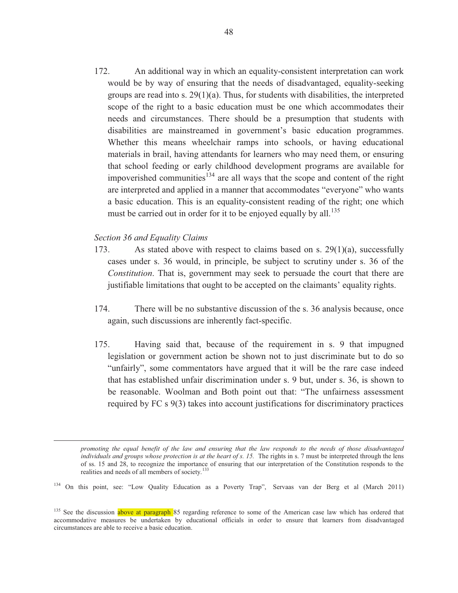172. An additional way in which an equality-consistent interpretation can work would be by way of ensuring that the needs of disadvantaged, equality-seeking groups are read into s. 29(1)(a). Thus, for students with disabilities, the interpreted scope of the right to a basic education must be one which accommodates their needs and circumstances. There should be a presumption that students with disabilities are mainstreamed in government's basic education programmes. Whether this means wheelchair ramps into schools, or having educational materials in brail, having attendants for learners who may need them, or ensuring that school feeding or early childhood development programs are available for impoverished communities<sup>134</sup> are all ways that the scope and content of the right are interpreted and applied in a manner that accommodates "everyone" who wants a basic education. This is an equality-consistent reading of the right; one which must be carried out in order for it to be enjoyed equally by all.<sup>135</sup>

#### *Section 36 and Equality Claims*

 $\overline{a}$ 

- 173. As stated above with respect to claims based on s.  $29(1)(a)$ , successfully cases under s. 36 would, in principle, be subject to scrutiny under s. 36 of the *Constitution*. That is, government may seek to persuade the court that there are justifiable limitations that ought to be accepted on the claimants' equality rights.
- 174. There will be no substantive discussion of the s. 36 analysis because, once again, such discussions are inherently fact-specific.
- 175. Having said that, because of the requirement in s. 9 that impugned legislation or government action be shown not to just discriminate but to do so "unfairly", some commentators have argued that it will be the rare case indeed that has established unfair discrimination under s. 9 but, under s. 36, is shown to be reasonable. Woolman and Both point out that: "The unfairness assessment required by FC s 9(3) takes into account justifications for discriminatory practices

*promoting the equal benefit of the law and ensuring that the law responds to the needs of those disadvantaged individuals and groups whose protection is at the heart of s. 15.* The rights in s. 7 must be interpreted through the lens of ss. 15 and 28, to recognize the importance of ensuring that our interpretation of the Constitution responds to the realities and needs of all members of society.<sup>133</sup>

<sup>134</sup> On this point, see: "Low Quality Education as a Poverty Trap", Servaas van der Berg et al (March 2011)

<sup>&</sup>lt;sup>135</sup> See the discussion above at paragraph 85 regarding reference to some of the American case law which has ordered that accommodative measures be undertaken by educational officials in order to ensure that learners from disadvantaged circumstances are able to receive a basic education.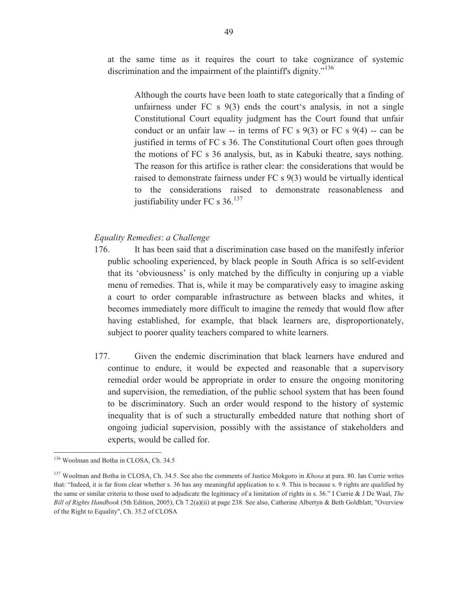at the same time as it requires the court to take cognizance of systemic discrimination and the impairment of the plaintiff's dignity."<sup>136</sup>

Although the courts have been loath to state categorically that a finding of unfairness under FC s 9(3) ends the court's analysis, in not a single Constitutional Court equality judgment has the Court found that unfair conduct or an unfair law -- in terms of FC s  $9(3)$  or FC s  $9(4)$  -- can be justified in terms of FC s 36. The Constitutional Court often goes through the motions of FC s 36 analysis, but, as in Kabuki theatre, says nothing. The reason for this artifice is rather clear: the considerations that would be raised to demonstrate fairness under FC s 9(3) would be virtually identical to the considerations raised to demonstrate reasonableness and justifiability under FC s  $36.137$ 

# *Equality Remedies*: *a Challenge*

- 176. It has been said that a discrimination case based on the manifestly inferior public schooling experienced, by black people in South Africa is so self-evident that its 'obviousness' is only matched by the difficulty in conjuring up a viable menu of remedies. That is, while it may be comparatively easy to imagine asking a court to order comparable infrastructure as between blacks and whites, it becomes immediately more difficult to imagine the remedy that would flow after having established, for example, that black learners are, disproportionately, subject to poorer quality teachers compared to white learners.
- 177. Given the endemic discrimination that black learners have endured and continue to endure, it would be expected and reasonable that a supervisory remedial order would be appropriate in order to ensure the ongoing monitoring and supervision, the remediation, of the public school system that has been found to be discriminatory. Such an order would respond to the history of systemic inequality that is of such a structurally embedded nature that nothing short of ongoing judicial supervision, possibly with the assistance of stakeholders and experts, would be called for.

<sup>136</sup> Woolman and Botha in CLOSA, Ch. 34.5

<sup>137</sup> Woolman and Botha in CLOSA, Ch. 34.5. See also the comments of Justice Mokgoro in *Khosa* at para. 80. Ian Currie writes that: "Indeed, it is far from clear whether s. 36 has any meaningful application to s. 9. This is because s. 9 rights are qualified by the same or similar criteria to those used to adjudicate the legitimacy of a limitation of rights in s. 36." I Currie & J De Waal, *The Bill of Rights Handbook* (5th Edition, 2005), Ch 7.2(a)(ii) at page 238. See also, Catherine Albertyn & Beth Goldblatt, "Overview of the Right to Equality", Ch. 35.2 of CLOSA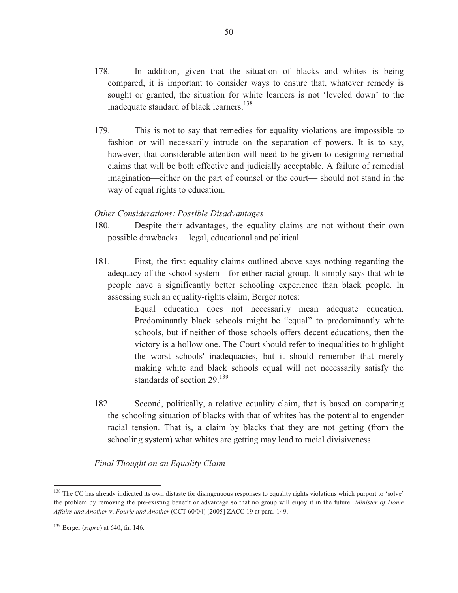- 178. In addition, given that the situation of blacks and whites is being compared, it is important to consider ways to ensure that, whatever remedy is sought or granted, the situation for white learners is not 'leveled down' to the inadequate standard of black learners.<sup>138</sup>
- 179. This is not to say that remedies for equality violations are impossible to fashion or will necessarily intrude on the separation of powers. It is to say, however, that considerable attention will need to be given to designing remedial claims that will be both effective and judicially acceptable. A failure of remedial imagination—either on the part of counsel or the court— should not stand in the way of equal rights to education.

#### *Other Considerations: Possible Disadvantages*

- 180. Despite their advantages, the equality claims are not without their own possible drawbacks— legal, educational and political.
- 181. First, the first equality claims outlined above says nothing regarding the adequacy of the school system—for either racial group. It simply says that white people have a significantly better schooling experience than black people. In assessing such an equality-rights claim, Berger notes:

Equal education does not necessarily mean adequate education. Predominantly black schools might be "equal" to predominantly white schools, but if neither of those schools offers decent educations, then the victory is a hollow one. The Court should refer to inequalities to highlight the worst schools' inadequacies, but it should remember that merely making white and black schools equal will not necessarily satisfy the standards of section 29.<sup>139</sup>

182. Second, politically, a relative equality claim, that is based on comparing the schooling situation of blacks with that of whites has the potential to engender racial tension. That is, a claim by blacks that they are not getting (from the schooling system) what whites are getting may lead to racial divisiveness.

*Final Thought on an Equality Claim* 

<sup>&</sup>lt;sup>138</sup> The CC has already indicated its own distaste for disingenuous responses to equality rights violations which purport to 'solve' the problem by removing the pre-existing benefit or advantage so that no group will enjoy it in the future: *Minister of Home Affairs and Another* v. *Fourie and Another* (CCT 60/04) [2005] ZACC 19 at para. 149.

<sup>139</sup> Berger (*supra*) at 640, fn. 146.